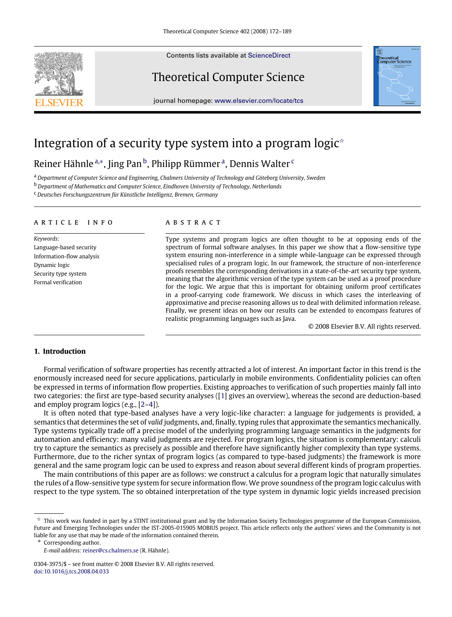<span id="page-0-5"></span>

Contents lists available at [ScienceDirect](http://www.elsevier.com/locate/tcs)

# Theoretical Computer Science



journal homepage: [www.elsevier.com/locate/tcs](http://www.elsevier.com/locate/tcs)

# Integration of a security type system into a program logic<sup> $\circ$ </sup>

# Reiner Hähnle <sup>[a,](#page-0-1)</sup>\*, Jing Pan <sup>[b](#page-0-3)</sup>, Philipp Rümmer <sup>[a](#page-0-1)</sup>, Dennis Walter <sup>[c](#page-0-4)</sup>

<span id="page-0-4"></span><span id="page-0-3"></span><span id="page-0-1"></span><sup>a</sup> *Department of Computer Science and Engineering, Chalmers University of Technology and Göteborg University, Sweden* <sup>b</sup> *Department of Mathematics and Computer Science, Eindhoven University of Technology, Netherlands* <sup>c</sup> *Deutsches Forschungszentrum für Künstliche Intelligenz, Bremen, Germany*

a r t i c l e i n f o

*Keywords:* Language-based security Information-flow analysis Dynamic logic Security type system Formal verification

# a b s t r a c t

Type systems and program logics are often thought to be at opposing ends of the spectrum of formal software analyses. In this paper we show that a flow-sensitive type system ensuring non-interference in a simple while-language can be expressed through specialised rules of a program logic. In our framework, the structure of non-interference proofs resembles the corresponding derivations in a state-of-the-art security type system, meaning that the algorithmic version of the type system can be used as a proof procedure for the logic. We argue that this is important for obtaining uniform proof certificates in a proof-carrying code framework. We discuss in which cases the interleaving of approximative and precise reasoning allows us to deal with delimited information release. Finally, we present ideas on how our results can be extended to encompass features of realistic programming languages such as Java.

© 2008 Elsevier B.V. All rights reserved.

#### **1. Introduction**

Formal verification of software properties has recently attracted a lot of interest. An important factor in this trend is the enormously increased need for secure applications, particularly in mobile environments. Confidentiality policies can often be expressed in terms of information flow properties. Existing approaches to verification of such properties mainly fall into two categories: the first are type-based security analyses ([\[1\]](#page-16-0) gives an overview), whereas the second are deduction-based and employ program logics (e.g., [\[2](#page-16-1)[–4\]](#page-16-2)).

It is often noted that type-based analyses have a very logic-like character: a language for judgements is provided, a semantics that determines the set of *valid* judgments, and, finally, typing rules that approximate the semantics mechanically. Type systems typically trade off a precise model of the underlying programming language semantics in the judgments for automation and efficiency: many valid judgments are rejected. For program logics, the situation is complementary: calculi try to capture the semantics as precisely as possible and therefore have significantly higher complexity than type systems. Furthermore, due to the richer syntax of program logics (as compared to type-based judgments) the framework is more general and the same program logic can be used to express and reason about several different kinds of program properties.

The main contributions of this paper are as follows: we construct a calculus for a program logic that naturally simulates the rules of a flow-sensitive type system for secure information flow. We prove soundness of the program logic calculus with respect to the type system. The so obtained interpretation of the type system in dynamic logic yields increased precision

<span id="page-0-2"></span>∗ Corresponding author.

<span id="page-0-0"></span> $\overline{x}$  This work was funded in part by a STINT institutional grant and by the Information Society Technologies programme of the European Commission, Future and Emerging Technologies under the IST-2005-015905 MOBIUS project. This article reflects only the authors' views and the Community is not liable for any use that may be made of the information contained therein.

*E-mail address:* [reiner@cs.chalmers.se](mailto:reiner@cs.chalmers.se) (R. Hähnle).

<sup>0304-3975/\$ –</sup> see front matter © 2008 Elsevier B.V. All rights reserved. [doi:10.1016/j.tcs.2008.04.033](http://dx.doi.org/10.1016/j.tcs.2008.04.033)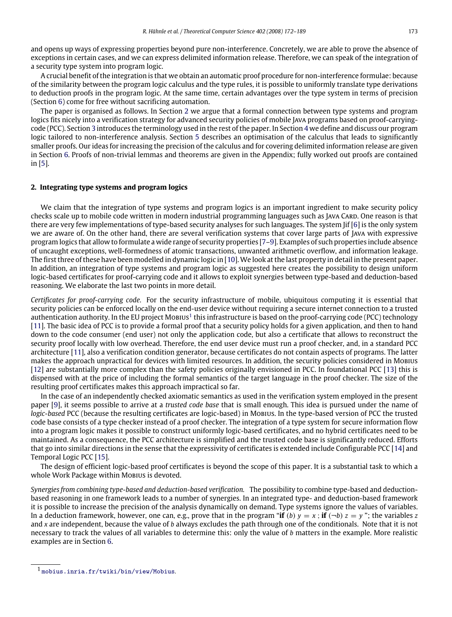and opens up ways of expressing properties beyond pure non-interference. Concretely, we are able to prove the absence of exceptions in certain cases, and we can express delimited information release. Therefore, we can speak of the integration of a security type system into program logic.

A crucial benefit of the integration is that we obtain an automatic proof procedure for non-interference formulae: because of the similarity between the program logic calculus and the type rules, it is possible to uniformly translate type derivations to deduction proofs in the program logic. At the same time, certain advantages over the type system in terms of precision (Section [6\)](#page-10-0) come for free without sacrificing automation.

The paper is organised as follows. In Section [2](#page-1-0) we argue that a formal connection between type systems and program logics fits nicely into a verification strategy for advanced security policies of mobile Java programs based on proof-carryingcode (PCC). Section [3](#page-2-0) introduces the terminology used in the rest of the paper. In Section [4](#page-4-0) we define and discuss our program logic tailored to non-interference analysis. Section [5](#page-7-0) describes an optimisation of the calculus that leads to significantly smaller proofs. Our ideas for increasing the precision of the calculus and for covering delimited information release are given in Section [6.](#page-10-0) Proofs of non-trivial lemmas and theorems are given in the Appendix; fully worked out proofs are contained in [\[5\]](#page-16-3).

# <span id="page-1-0"></span>**2. Integrating type systems and program logics**

We claim that the integration of type systems and program logics is an important ingredient to make security policy checks scale up to mobile code written in modern industrial programming languages such as JAVA CARD. One reason is that there are very few implementations of type-based security analyses for such languages. The system Jif [\[6\]](#page-16-4) is the only system we are aware of. On the other hand, there are several verification systems that cover large parts of Java with expressive program logics that allow to formulate a wide range of security properties [\[7–](#page-16-5)[9\]](#page-16-6). Examples of such properties include absence of uncaught exceptions, well-formedness of atomic transactions, unwanted arithmetic overflow, and information leakage. The first three of these have been modelled in dynamic logic in [\[10\]](#page-16-7).We look at the last property in detail in the present paper. In addition, an integration of type systems and program logic as suggested here creates the possibility to design uniform logic-based certificates for proof-carrying code and it allows to exploit synergies between type-based and deduction-based reasoning. We elaborate the last two points in more detail.

*Certificates for proof-carrying code.* For the security infrastructure of mobile, ubiquitous computing it is essential that security policies can be enforced locally on the end-user device without requiring a secure internet connection to a trusted authentication authority. In the EU project Mobius<sup>[1](#page-1-1)</sup> this infrastructure is based on the proof-carrying code (PCC) technology [\[11\]](#page-16-8). The basic idea of PCC is to provide a formal proof that a security policy holds for a given application, and then to hand down to the code consumer (end user) not only the application code, but also a certificate that allows to reconstruct the security proof locally with low overhead. Therefore, the end user device must run a proof checker, and, in a standard PCC architecture [\[11\]](#page-16-8), also a verification condition generator, because certificates do not contain aspects of programs. The latter makes the approach unpractical for devices with limited resources. In addition, the security policies considered in Mobius [\[12\]](#page-16-9) are substantially more complex than the safety policies originally envisioned in PCC. In foundational PCC [\[13\]](#page-16-10) this is dispensed with at the price of including the formal semantics of the target language in the proof checker. The size of the resulting proof certificates makes this approach impractical so far.

In the case of an independently checked axiomatic semantics as used in the verification system employed in the present paper [\[9\]](#page-16-6), it seems possible to arrive at a *trusted code base* that is small enough. This idea is pursued under the name of *logic-based* PCC (because the resulting certificates are logic-based) in Mobius. In the type-based version of PCC the trusted code base consists of a type checker instead of a proof checker. The integration of a type system for secure information flow into a program logic makes it possible to construct uniformly logic-based certificates, and no hybrid certificates need to be maintained. As a consequence, the PCC architecture is simplified and the trusted code base is significantly reduced. Efforts that go into similar directions in the sense that the expressivity of certificates is extended include Configurable PCC [\[14\]](#page-16-11) and Temporal Logic PCC [\[15\]](#page-16-12).

The design of efficient logic-based proof certificates is beyond the scope of this paper. It is a substantial task to which a whole Work Package within Mobius is devoted.

*Synergies from combining type-based and deduction-based verification.* The possibility to combine type-based and deductionbased reasoning in one framework leads to a number of synergies. In an integrated type- and deduction-based framework it is possible to increase the precision of the analysis dynamically on demand. Type systems ignore the values of variables. In a deduction framework, however, one can, e.g., prove that in the program "**if** (*b*)  $y = x$ ; **if** ( $\neg b$ )  $z = y$ "; the variables *z* and *x* are independent, because the value of *b* always excludes the path through one of the conditionals. Note that it is not necessary to track the values of all variables to determine this: only the value of *b* matters in the example. More realistic examples are in Section [6.](#page-10-0)

<span id="page-1-1"></span><sup>1</sup> <mobius.inria.fr/twiki/bin/view/Mobius>.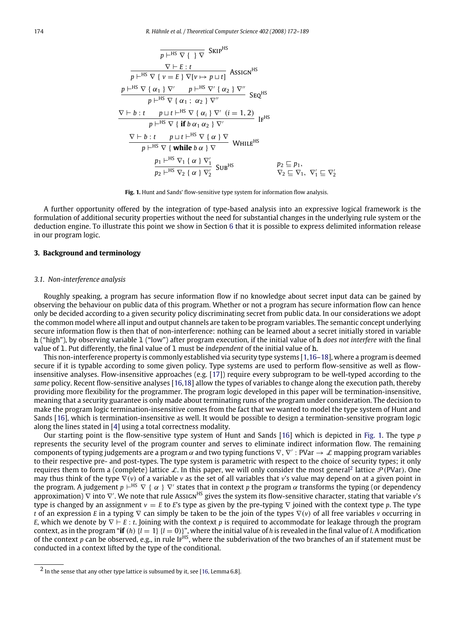<span id="page-2-1"></span>
$$
\frac{\nabla \vdash^{HS} \nabla \{ \} \nabla \text{ SkIP}^{HS}}{p \vdash^{HS} \nabla \{ v = E \} \nabla [v \mapsto p \sqcup t]} \text{ASSIGN}^{HS}
$$
\n
$$
\frac{p \vdash^{HS} \nabla \{ v = E \} \nabla [v \mapsto p \sqcup t]}{p \vdash^{HS} \nabla \{ \alpha_1 \} \nabla' \quad p \vdash^{HS} \nabla' \{ \alpha_2 \} \nabla''} \text{Seq}^{HS}
$$
\n
$$
\frac{\nabla \vdash b : t \quad p \sqcup t \vdash^{HS} \nabla \{ \alpha_i \} \nabla' \ (i = 1, 2)}{p \vdash^{HS} \nabla \{ \text{ if } b \alpha_1 \alpha_2 \} \nabla'}
$$
\n
$$
\frac{\nabla \vdash b : t \quad p \sqcup t \vdash^{HS} \nabla \{ \alpha \} \nabla}{p \vdash^{HS} \nabla \{ \text{ while } b \alpha \} \nabla} \text{ WhILE}^{HS}
$$
\n
$$
\frac{p_1 \vdash^{HS} \nabla_1 \{ \alpha \} \nabla'_1}{p_2 \vdash^{HS} \nabla_2 \{ \alpha \} \nabla'_2} \text{SUB}^{HS} \qquad p_2 \sqsubseteq p_1,
$$
\n
$$
\frac{p_2 \sqsubseteq p_1}{\nabla_2 \sqsubseteq \nabla_1}, \nabla'_1 \sqsubseteq \nabla'_2
$$

**Fig. 1.** Hunt and Sands' flow-sensitive type system for information flow analysis.

A further opportunity offered by the integration of type-based analysis into an expressive logical framework is the formulation of additional security properties without the need for substantial changes in the underlying rule system or the deduction engine. To illustrate this point we show in Section [6](#page-10-0) that it is possible to express delimited information release in our program logic.

# <span id="page-2-0"></span>**3. Background and terminology**

### *3.1. Non-interference analysis*

Roughly speaking, a program has secure information flow if no knowledge about secret input data can be gained by observing the behaviour on public data of this program. Whether or not a program has secure information flow can hence only be decided according to a given security policy discriminating secret from public data. In our considerations we adopt the common model where all input and output channels are taken to be program variables. The semantic concept underlying secure information flow is then that of non-interference: nothing can be learned about a secret initially stored in variable h ("high"), by observing variable l ("low") after program execution, if the initial value of h *does not interfere with* the final value of l. Put differently, the final value of l must be *independent* of the initial value of h.

This non-interference property is commonly established via security type systems [\[1](#page-16-0)[,16](#page-16-13)[–18\]](#page-17-0), where a program is deemed secure if it is typable according to some given policy. Type systems are used to perform flow-sensitive as well as flowinsensitive analyses. Flow-insensitive approaches (e.g. [\[17\]](#page-16-14)) require every subprogram to be well-typed according to the *same* policy. Recent flow-sensitive analyses [\[16](#page-16-13)[,18\]](#page-17-0) allow the types of variables to change along the execution path, thereby providing more flexibility for the programmer. The program logic developed in this paper will be termination-insensitive, meaning that a security guarantee is only made about terminating runs of the program under consideration. The decision to make the program logic termination-insensitive comes from the fact that we wanted to model the type system of Hunt and Sands [\[16\]](#page-16-13), which is termination-insensitive as well. It would be possible to design a termination-sensitive program logic along the lines stated in [\[4\]](#page-16-2) using a total correctness modality.

Our starting point is the flow-sensitive type system of Hunt and Sands [\[16\]](#page-16-13) which is depicted in [Fig.](#page-2-1) [1.](#page-2-1) The type *p* represents the security level of the program counter and serves to eliminate indirect information flow. The remaining components of typing judgements are a program  $\alpha$  and two typing functions  $\nabla, \nabla' : PVar \to L$  mapping program variables to their respective pre- and post-types. The type system is parametric with respect to the choice of security types; it only requires them to form a (complete) lattice L. In this paper, we will only consider the most general<sup>[2](#page-2-2)</sup> lattice  $\mathcal{P}(PVar)$ . One may thus think of the type ∇(*v*) of a variable *v* as the set of all variables that *v*'s value may depend on at a given point in the program. A judgement  $p \vdash^{\text{HS}} \nabla \{ \alpha \} \nabla'$  states that in context p the program  $\alpha$  transforms the typing (or dependency approximation)  $\nabla$  into  $\nabla'$ . We note that rule Assign<sup>HS</sup> gives the system its flow-sensitive character, stating that variable v's type is changed by an assignment  $v = E$  to *E*'s type as given by the pre-typing  $\nabla$  joined with the context type *p*. The type *t* of an expression *E* in a typing ∇ can simply be taken to be the join of the types ∇(*v*) of all free variables *v* occurring in *E*, which we denote by  $\nabla \vdash E$ : *t*. Joining with the context *p* is required to accommodate for leakage through the program context, as in the program "**if** (*h*)  $\{l = 1\}$   $\{l = 0\}$ ", where the initial value of *h* is revealed in the final value of *l*. A modification of the context *p* can be observed, e.g., in rule Ir<sup>HS</sup>, where the subderivation of the two branches of an if statement must be conducted in a context lifted by the type of the conditional.

<span id="page-2-2"></span><sup>&</sup>lt;sup>2</sup> In the sense that any other type lattice is subsumed by it, see [\[16,](#page-16-13) Lemma 6.8].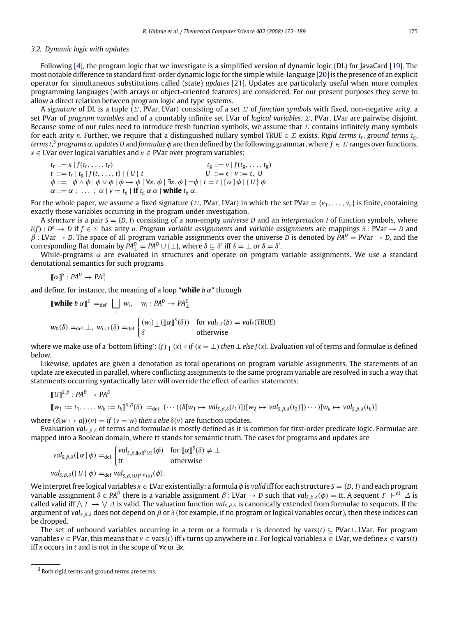# *3.2. Dynamic logic with updates*

Following [\[4\]](#page-16-2), the program logic that we investigate is a simplified version of dynamic logic (DL) for JavaCard [\[19\]](#page-17-1). The most notable difference to standard first-order dynamic logic for the simple while-language [\[20\]](#page-17-2) is the presence of an explicit operator for simultaneous substitutions called (state) *updates* [\[21\]](#page-17-3). Updates are particularly useful when more complex programming languages (with arrays or object-oriented features) are considered. For our present purposes they serve to allow a direct relation between program logic and type systems.

A *signature* of DL is a tuple (Σ, PVar, LVar) consisting of a set Σ of *function symbols* with fixed, non-negative arity, a set PVar of *program variables* and of a countably infinite set LVar of *logical variables*. Σ, PVar, LVar are pairwise disjoint. Because some of our rules need to introduce fresh function symbols, we assume that  $\Sigma$  contains infinitely many symbols for each arity *n*. Further, we require that a distinguished nullary symbol *TRUE* ∈ Σ exists. *Rigid terms t*<sup>r</sup> , *ground terms t*g, *terms t*, [3](#page-3-0) *programs* α, *updates U* and *formulae* φ are then defined by the following grammar, where *f* ∈ Σ ranges over functions, *x* ∈ LVar over logical variables and *v* ∈ PVar over program variables:

$$
t_{r} ::= x | f(t_{r},...,t_{r})
$$
  
\n
$$
t_{r} ::= t_{r} | t_{g} | f(t,...,t) | \{U\} t
$$
  
\n
$$
\phi ::= \phi \land \phi | \phi \lor \phi | \phi \rightarrow \phi | \forall x. \phi | \exists x. \phi | \neg \phi | t = t | [\alpha] \phi | \{U\} \phi
$$
  
\n
$$
\alpha ::= \alpha ; \dots ; \alpha | v = t_{g} | \text{if } t_{g} \alpha \alpha | \text{while } t_{g} \alpha.
$$

For the whole paper, we assume a fixed signature ( $\Sigma$ , PVar, LVar) in which the set PVar = { $v_1, \ldots, v_n$ } is finite, containing exactly those variables occurring in the program under investigation.

A *structure* is a pair *S* = (*D*,*I*) consisting of a non-empty *universe D* and an *interpretation I* of function symbols, where *I*(*f*) : *D <sup>n</sup>* → *D* if *f* ∈ Σ has arity *n*. *Program variable assignments* and *variable assignments* are mappings δ : PVar → *D* and  $\beta$ : LVar  $\rightarrow$  *D*. The space of all program variable assignments over the universe *D* is denoted by  $\overline{PA}^D = PVar \rightarrow D$ , and the corresponding flat domain by  $PA_{\perp}^D = PA^D \cup {\perp}$ , where  $\delta \sqsubseteq \delta'$  iff  $\delta = \perp$  or  $\delta = \delta'$ .

While-programs  $\alpha$  are evaluated in structures and operate on program variable assignments. We use a standard denotational semantics for such programs

$$
\llbracket \alpha \rrbracket^S : PA^D \to PA^D_\perp
$$

and define, for instance, the meaning of a loop "**while**  $b \alpha$ " through

$$
\begin{aligned}\n\llbracket \mathbf{while} \ b \ \alpha \rrbracket^S &=_{\text{def}} \ \bigsqcup_{i} \ w_i, \quad w_i : P A^D \to P A^D_\perp \\
w_0(\delta) &=_{\text{def}} \ \perp, \ w_{i+1}(\delta) =_{\text{def}} \begin{cases}\n(w_i) \perp (\llbracket \alpha \rrbracket^S(\delta)) & \text{for } \text{val}_{S, \delta}(b) = \text{val}_S(\text{TRUE}) \\
\delta & \text{otherwise}\n\end{cases}\n\end{aligned}
$$

where we make use of a 'bottom lifting':  $(f)$ <sub>⊥</sub>( $x$ ) = *if* ( $x = \perp$ ) *then*  $\perp$  *else*  $f(x)$ . Evaluation *val* of terms and formulae is defined below.

Likewise, updates are given a denotation as total operations on program variable assignments. The statements of an update are executed in parallel, where conflicting assignments to the same program variable are resolved in such a way that statements occurring syntactically later will override the effect of earlier statements:

$$
[[U]]^{S,\beta}:PA^D\to PA^D
$$
  

$$
[[w_1:=t_1,\ldots,w_k:=t_k]]^{S,\beta}(\delta) =_{def} (\cdots ((\delta[w_1 \mapsto val_{S,\beta,\delta}(t_1)))[w_2 \mapsto val_{S,\beta,\delta}(t_2)])\cdots)[w_k \mapsto val_{S,\beta,\delta}(t_k)]
$$

where  $(\delta[w \mapsto a])(v) = if (v = w)$  *then a else*  $\delta(v)$  are function updates.

Evaluation *valS*,β,δ of terms and formulae is mostly defined as it is common for first-order predicate logic. Formulae are mapped into a Boolean domain, where tt stands for semantic truth. The cases for programs and updates are

$$
val_{S,\beta,\delta}([\alpha]\,\phi) =_{def} \begin{cases} val_{S,\beta,[\alpha]\!\upharpoonright\delta}(\phi) & \text{for } [\![\alpha]\!\!\upharpoonright\delta(\delta) \neq \bot \\ tt & \text{otherwise} \end{cases}
$$

$$
\mathit{val}_{S,\beta,\delta}(\{U\}\phi)=_{\mathsf{def}}\mathit{val}_{S,\beta,\llbracket U\rrbracket^{S,\beta}(\delta)}(\phi).
$$

We interpret free logical variables *x* ∈ LVar existentially: a formula φ is *valid* iff for each structure *S* = (*D*,*I*) and each program variable assignment  $\delta\in$  *PA<sup>D</sup>* there is a variable assignment  $\beta$  : LVar  $\to$  D such that val<sub>s,β,δ</sub>( $\phi$ )  $=$  tt. A sequent  $\varGamma$   $\vdash^{\rm dl}$   $\varDelta$  is called valid iff  $\wedge$   $\Gamma \to \vee \Delta$  is valid. The valuation function *val*<sub>5,β,δ</sub> is canonically extended from formulae to sequents. If the argument of *val*<sub>5,*B*, $\delta$ </sub> does not depend on  $\beta$  or  $\delta$  (for example, if no program or logical variables occur), then these indices can be dropped.

The set of unbound variables occurring in a term or a formula *t* is denoted by vars(*t*) ⊆ PVar ∪ LVar. For program *variables*  $v \in \text{PVar}$ , this means that  $v \in \text{vars}(t)$  iff *v* turns up anywhere in *t*. For logical variables  $x \in \text{LVar}$ , we define  $x \in \text{vars}(t)$ iff *x* occurs in *t* and is not in the scope of ∀*x* or ∃*x*.

<span id="page-3-0"></span><sup>3</sup> Both rigid terms and ground terms are terms.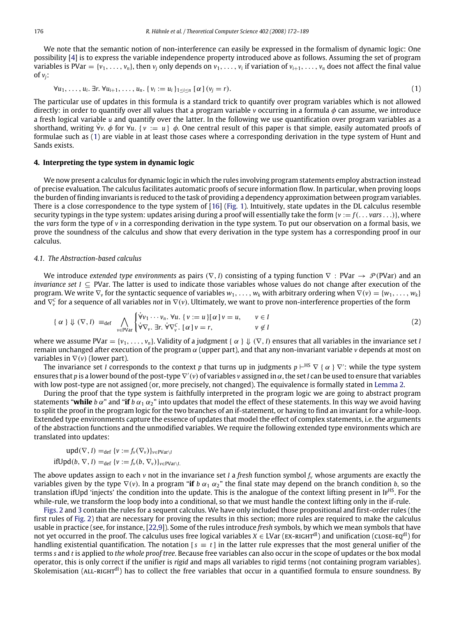We note that the semantic notion of non-interference can easily be expressed in the formalism of dynamic logic: One possibility [\[4\]](#page-16-2) is to express the variable independence property introduced above as follows. Assuming the set of program variables is PVar = { $v_1, \ldots, v_n$ }, then  $v_j$  only depends on  $v_1, \ldots, v_i$  if variation of  $v_{i+1}, \ldots, v_n$  does not affect the final value of  $v_i$ :

<span id="page-4-1"></span>
$$
\forall u_1, \ldots, u_i. \exists r. \forall u_{i+1}, \ldots, u_n. \ \{v_i := u_i\}_{1 \leq i \leq n} \ [\alpha \ (v_j = r). \tag{1}
$$

The particular use of updates in this formula is a standard trick to quantify over program variables which is not allowed directly: in order to quantify over all values that a program variable *v* occurring in a formula φ can assume, we introduce a fresh logical variable *u* and quantify over the latter. In the following we use quantification over program variables as a shorthand, writing  $\forall v$ .  $\phi$  for  $\forall u$ . {  $v := u$ }  $\phi$ . One central result of this paper is that simple, easily automated proofs of formulae such as [\(1\)](#page-4-1) are viable in at least those cases where a corresponding derivation in the type system of Hunt and Sands exists.

#### <span id="page-4-0"></span>**4. Interpreting the type system in dynamic logic**

We now present a calculus for dynamic logic in which the rules involving program statements employ abstraction instead of precise evaluation. The calculus facilitates automatic proofs of secure information flow. In particular, when proving loops the burden of finding invariants is reduced to the task of providing a dependency approximation between program variables. There is a close correspondence to the type system of [\[16\]](#page-16-13) [\(Fig.](#page-2-1) [1\)](#page-2-1). Intuitively, state updates in the DL calculus resemble security typings in the type system: updates arising during a proof will essentially take the form {*v* := *f*(. . . *vars* . . .)}, where the *vars* form the type of *v* in a corresponding derivation in the type system. To put our observation on a formal basis, we prove the soundness of the calculus and show that every derivation in the type system has a corresponding proof in our calculus.

# *4.1. The Abstraction-based calculus*

We introduce *extended type environments* as pairs ( $\nabla$ , *I*) consisting of a typing function  $\nabla$ : PVar →  $\mathcal{P}$ (PVar) and an *invariance set I* ⊆ PVar. The latter is used to indicate those variables whose values do not change after execution of the program. We write  $\nabla_{\mathbf{v}}$  for the syntactic sequence of variables  $w_1, \ldots, w_k$  with arbitrary ordering when  $\nabla(\mathbf{v}) = \{w_1, \ldots, w_k\}$ and ∇ *C v* for a sequence of all variables *not* in ∇(*v*). Ultimately, we want to prove non-interference properties of the form

<span id="page-4-2"></span>
$$
\{\alpha\} \Downarrow (\nabla, I) \equiv_{\text{def}} \bigwedge_{v \in \text{PVar}} \begin{cases} \n\dot{\forall} v_1 \cdots v_n. \ \forall u. \ \{v := u\} [\alpha] \, v = u, & v \in I \\ \n\dot{\forall} \nabla_v. \ \exists r. \ \dot{\forall} \nabla_v^C. \ [\alpha] \, v = r, & v \notin I \end{cases} \tag{2}
$$

where we assume PVar = { $v_1, \ldots, v_n$ }. Validity of a judgment { $\alpha \} \Downarrow (\nabla, I)$  ensures that all variables in the invariance set *I* remain unchanged after execution of the program  $\alpha$  (upper part), and that any non-invariant variable  $\nu$  depends at most on variables in ∇(*v*) (lower part).

The invariance set *I* corresponds to the context  $p$  that turns up in judgments  $p \vdash^{\text{HS}} \nabla$  {  $\alpha$  }  $\nabla'$ : while the type system ensures that p is a lower bound of the post-type V'(v) of variables v assigned in α, the set I can be used to ensure that variables with low post-type are not assigned (or, more precisely, not changed). The equivalence is formally stated in [Lemma](#page-6-0) [2.](#page-6-0)

During the proof that the type system is faithfully interpreted in the program logic we are going to abstract program statements "while *b*  $\alpha$ " and "if *b*  $\alpha_1 \alpha_2$ " into updates that model the effect of these statements. In this way we avoid having to split the proof in the program logic for the two branches of an if-statement, or having to find an invariant for a while-loop. Extended type environments capture the essence of updates that model the effect of complex statements, i.e. the arguments of the abstraction functions and the unmodified variables. We require the following extended type environments which are translated into updates:

$$
\text{upd}(\nabla, I) =_{\text{def}} \{v := f_v(\nabla_v)\}_{v \in \text{PVar}\setminus I}
$$
  
ifUpd(b, \nabla, I) =\_{\text{def}} \{v := f\_v(b, \nabla\_v)\}\_{v \in \text{PVar}\setminus I.}

The above updates assign to each *v* not in the invariance set *I* a *fresh* function symbol *f<sup>v</sup>* whose arguments are exactly the variables given by the type  $\nabla$ (*v*). In a program "**if** *b*  $\alpha_1 \alpha_2$ " the final state may depend on the branch condition *b*, so the translation ifUpd 'injects' the condition into the update. This is the analogue of the context lifting present in IFHS. For the while-rule, we transform the loop body into a conditional, so that we must handle the context lifting only in the if-rule.

[Figs.](#page-5-0) [2](#page-5-0) and [3](#page-5-1) contain the rules for a sequent calculus. We have only included those propositional and first-order rules (the first rules of [Fig.](#page-5-0) [2\)](#page-5-0) that are necessary for proving the results in this section; more rules are required to make the calculus usable in practice (see, for instance, [\[22,](#page-17-4)[9\]](#page-16-6)). Some of the rules introduce *fresh* symbols, by which we mean symbols that have not yet occurred in the proof. The calculus uses free logical variables *X* ∈ LVar (EX-RIGHT<sup>dl</sup>) and unification (cLosE-EQ<sup>dl</sup>) for handling existential quantification. The notation  $s \equiv t$  in the latter rule expresses that the most general unifier of the terms *s* and *t* is applied to *the whole proof tree*. Because free variables can also occur in the scope of updates or the box modal operator, this is only correct if the unifier is *rigid* and maps all variables to rigid terms (not containing program variables). Skolemisation (ALL-RIGHT<sup>dl</sup>) has to collect the free variables that occur in a quantified formula to ensure soundness. By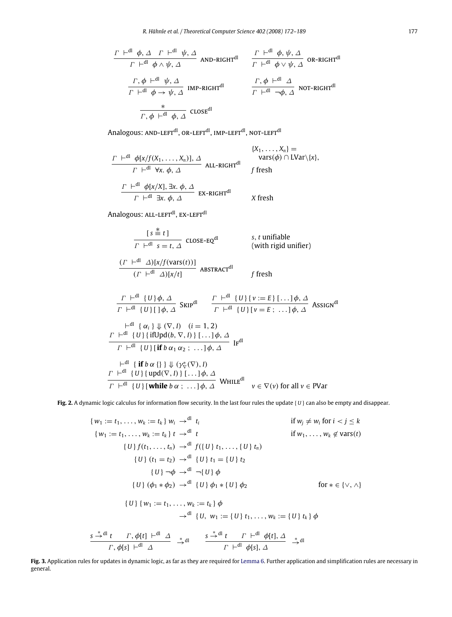<span id="page-5-0"></span>
$$
\begin{array}{ccc}\n\frac{\Gamma & \vdash^{\text{dl}} \phi, \Delta & \Gamma & \vdash^{\text{dl}} \psi, \Delta \\
\hline\n\Gamma & \vdash^{\text{dl}} \phi \land \psi, \Delta & \text{AND-RIGHT}^{\text{dl}} & \frac{\Gamma & \vdash^{\text{dl}} \phi, \psi, \Delta}{\Gamma & \vdash^{\text{dl}} \phi \lor \psi, \Delta} & \text{OR-RIGHT}^{\text{dl}} \\
\frac{\Gamma, \phi & \vdash^{\text{dl}} \psi, \Delta}{\Gamma & \vdash^{\text{dl}} \phi \to \psi, \Delta} & \text{IMP-RIGHT}^{\text{dl}} & \frac{\Gamma, \phi & \vdash^{\text{dl}} \Delta}{\Gamma & \vdash^{\text{dl}} \neg \phi, \Delta} & \text{NOT-RIGHT}^{\text{dl}} \\
\frac{*}{\Gamma, \phi & \vdash^{\text{dl}} \phi, \Delta} & \text{CLOSE}^{\text{dl}} & & & & \\
\end{array}
$$

Analogous: AND-LEFT<sup>dl</sup>, OR-LEFT<sup>dl</sup>, IMP-LEFT<sup>dl</sup>, NOT-LEFT<sup>dl</sup>

$$
\frac{\Gamma \vdash^{\text{dl}} \phi[x/f(X_1, \ldots, X_n)], \Delta}{\Gamma \vdash^{\text{dl}} \forall x. \phi, \Delta} \text{ALL-RIGHT}^{\text{dl}} \quad \text{vars}(\phi) \cap \text{LVar}\{x\},
$$
\n
$$
\frac{\Gamma \vdash^{\text{dl}} \phi[x/X], \exists x. \phi, \Delta}{\Gamma \vdash^{\text{dl}} \exists x. \phi, \Delta} \text{EX-RIGHT}^{\text{dl}} \quad \text{X fresh}
$$

Analogous: ALL-LEFT<sup>dl</sup>, EX-LEFT<sup>dl</sup>

$$
\frac{[s \stackrel{*}{\equiv} t]}{\Gamma \vdash^{dl} s = t, \Delta} \text{ CLOSE-EQ}^{dl} \qquad s, t \text{ unifiable}
$$
  
(with rigid unifier)

$$
\frac{(T \mid \text{d} \mid \Delta)[x/f(\text{vars}(t))]}{(T \mid \text{d} \mid \Delta)[x/t]} \text{ABSTRACT}^{\text{dl}}
$$

$$
\frac{\Gamma \vdash^{\text{dl}} \{U\} \phi, \Delta}{\Gamma \vdash^{\text{dl}} \{U\} [\phi, \Delta]} \quad \frac{\Gamma \vdash^{\text{dl}} \{U\} \{v := E\} [\dots] \phi, \Delta}{\Gamma \vdash^{\text{dl}} \{U\} [v = E; \dots] \phi, \Delta} \quad \text{ASSIGN}^{\text{dl}}
$$
\n
$$
\vdash^{\text{dl}} \{ \alpha_i \} \Downarrow (\nabla, I) \quad (i = 1, 2)
$$
\n
$$
\frac{\Gamma \vdash^{\text{dl}} \{U\} \{i\text{fUpd}(b, \nabla, I)\} [\dots] \phi, \Delta}{\Gamma \vdash^{\text{dl}} \{U\} [\text{if } b \alpha_1 \alpha_2; \dots] \phi, \Delta} \quad \text{Ir}^{\text{dl}}
$$
\n
$$
\vdash^{\text{dl}} \{i\text{f} b \alpha \{\} \} \Downarrow (\gamma^*_{\nabla}(\nabla), I)
$$
\n
$$
\frac{\Gamma \vdash^{\text{dl}} \{U\} \{ \text{upd}(\nabla, I)\} [\dots] \phi, \Delta}{\Gamma \vdash^{\text{dl}} \{U\} \{ \text{upd}(\nabla, I)\} [\dots] \phi, \Delta} \quad \text{WHLE}^{\text{dl}}
$$
\n
$$
\nu \in \nabla(\nu) \text{ for all } \nu \in \text{PVar}
$$

<span id="page-5-1"></span>**Fig. 2.** A dynamic logic calculus for information flow security. In the last four rules the update { *U* } can also be empty and disappear.

$$
\{w_1 := t_1, \ldots, w_k := t_k\} w_i \rightarrow^{dl} t_i \qquad \text{if } w_j \neq w_i \text{ for } i < j \leq k
$$
\n
$$
\{w_1 := t_1, \ldots, w_k := t_k\} t \rightarrow^{dl} t \qquad \text{if } w_1, \ldots, w_k \notin \text{vars}(t)
$$
\n
$$
\{U\} f(t_1, \ldots, t_n) \rightarrow^{dl} f(\{U\} t_1, \ldots, \{U\} t_n)
$$
\n
$$
\{U\} (t_1 = t_2) \rightarrow^{dl} \{U\} t_1 = \{U\} t_2
$$
\n
$$
\{U\} \rightarrow \phi \rightarrow^{dl} \neg \{U\} \phi
$$
\n
$$
\{U\} (\phi_1 * \phi_2) \rightarrow^{dl} \{U\} \phi_1 * \{U\} \phi_2 \qquad \text{for } * \in \{\vee, \wedge\}
$$
\n
$$
\{U\} \{w_1 := t_1, \ldots, w_k := t_k\} \phi
$$
\n
$$
\rightarrow^{dl} \{U, w_1 := \{U\} t_1, \ldots, w_k := \{U\} t_k\} \phi
$$
\n
$$
\frac{s \stackrel{*}{\rightarrow}^{dl} t \quad \Gamma, \phi[t] \stackrel{*}{\leftarrow}^{dl} \Delta} \stackrel{*}{\rightarrow}^{dl} \qquad \frac{s \stackrel{*}{\rightarrow}^{dl} t \quad \Gamma \stackrel{*}{\leftarrow}^{dl} \phi[s], \Delta} \stackrel{*}{\rightarrow}^{dl} \qquad \text{if } \varphi[s], \Delta}
$$

**Fig. 3.** Application rules for updates in dynamic logic, as far as they are required for [Lemma](#page-7-1) [6.](#page-7-1) Further application and simplification rules are necessary in general.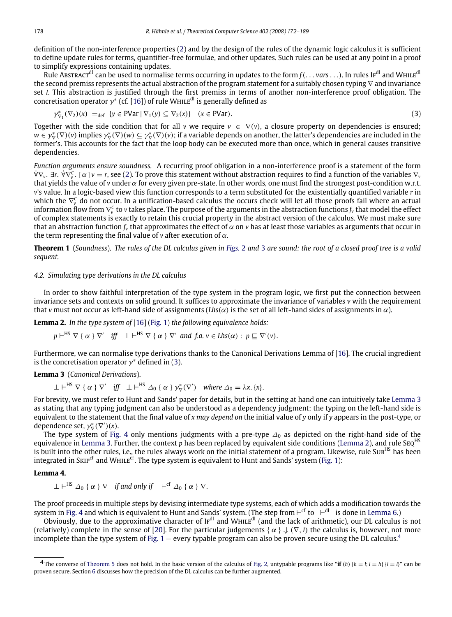definition of the non-interference properties [\(2\)](#page-4-2) and by the design of the rules of the dynamic logic calculus it is sufficient to define update rules for terms, quantifier-free formulae, and other updates. Such rules can be used at any point in a proof to simplify expressions containing updates.

Rule Abstract<sup>dl</sup> can be used to normalise terms occurring in updates to the form  $f($ ... *vars* ...). In rules If<sup>dl</sup> and WHILE<sup>dl</sup> the second premiss represents the actual abstraction of the program statement for a suitably chosen typing ∇ and invariance set *I*. This abstraction is justified through the first premiss in terms of another non-interference proof obligation. The concretisation operator  $\gamma^*$  (cf. [\[16\]](#page-16-13)) of rule WHILE<sup>dl</sup> is generally defined as

<span id="page-6-1"></span>
$$
\gamma_{\nabla_1}^*(\nabla_2)(x) =_{\text{def}} \{ y \in \text{PVar} \mid \nabla_1(y) \subseteq \nabla_2(x) \} \quad (x \in \text{PVar}). \tag{3}
$$

Together with the side condition that for all *v* we require  $v \in \nabla(v)$ , a closure property on dependencies is ensured;  $w\in\gamma^*_\nabla(\nabla)(v)$  implies  $\gamma^*_\nabla(\nabla)(w)\subseteq\gamma^*_\nabla(\nabla)(v)$ ; if a variable depends on another, the latter's dependencies are included in the former's. This accounts for the fact that the loop body can be executed more than once, which in general causes transitive dependencies.

*Function arguments ensure soundness.* A recurring proof obligation in a non-interference proof is a statement of the form ∀∇˙ *<sup>v</sup>*. ∃*r*. ∀∇˙ *<sup>C</sup> v* . [α] *v* = *r*, see [\(2\)](#page-4-2). To prove this statement without abstraction requires to find a function of the variables ∇*<sup>v</sup>* that yields the value of *v* under  $\alpha$  for every given pre-state. In other words, one must find the strongest post-condition w.r.t. *v*'s value. In a logic-based view this function corresponds to a term substituted for the existentially quantified variable *r* in which the  $\nabla_v^C$  do not occur. In a unification-based calculus the occurs check will let all those proofs fail where an actual information flow from ∇ *C v* to *v* takes place. The purpose of the arguments in the abstraction functions *f<sup>v</sup>* that model the effect of complex statements is exactly to retain this crucial property in the abstract version of the calculus. We must make sure that an abstraction function *f<sup>v</sup>* that approximates the effect of α on *v* has at least those variables as arguments that occur in the term representing the final value of  $\nu$  after execution of  $\alpha$ .

<span id="page-6-6"></span>**Theorem 1** (*Soundness*). *The rules of the DL calculus given in [Figs.](#page-5-0)* [2](#page-5-0) *and* [3](#page-5-1) *are sound: the root of a closed proof tree is a valid sequent.*

# *4.2. Simulating type derivations in the DL calculus*

In order to show faithful interpretation of the type system in the program logic, we first put the connection between invariance sets and contexts on solid ground. It suffices to approximate the invariance of variables *v* with the requirement that *v* must not occur as left-hand side of assignments (*Lhs*( $\alpha$ ) is the set of all left-hand sides of assignments in  $\alpha$ ).

**Lemma 2.** *In the type system of* [\[16\]](#page-16-13) [\(Fig.](#page-2-1) [1\)](#page-2-1) *the following equivalence holds:*

<span id="page-6-0"></span> $p \vdash^{\text{HS}} \nabla \{ \alpha \} \nabla'$  *iff*  $\bot \vdash^{\text{HS}} \nabla \{ \alpha \} \nabla'$  and  $f.a. v \in \text{Lhs}(\alpha) : p \sqsubseteq \nabla'(v).$ 

Furthermore, we can normalise type derivations thanks to the Canonical Derivations Lemma of [\[16\]](#page-16-13). The crucial ingredient is the concretisation operator  $\gamma^*$  defined in [\(3\)](#page-6-1).

# <span id="page-6-2"></span>**Lemma 3** (*Canonical Derivations*).

 $\bot \vdash^{\text{HS}} \nabla \{ \alpha \} \nabla'$  *iff*  $\bot \vdash^{\text{HS}} \Delta_0 \{ \alpha \} \gamma^*_{\nabla}(\nabla')$  where  $\Delta_0 = \lambda x. \{x\}.$ 

For brevity, we must refer to Hunt and Sands' paper for details, but in the setting at hand one can intuitively take [Lemma](#page-6-2) [3](#page-6-2) as stating that any typing judgment can also be understood as a dependency judgment: the typing on the left-hand side is equivalent to the statement that the final value of *x may depend on* the initial value of *y* only if *y* appears in the post-type, or dependence set,  $\gamma_{\nabla}^*(\nabla')(x)$ .

The type system of [Fig.](#page-7-2) [4](#page-7-2) only mentions judgments with a pre-type  $\Delta_0$  as depicted on the right-hand side of the equivalence in [Lemma](#page-6-2) [3.](#page-6-2) Further, the context *p* has been replaced by equivalent side conditions [\(Lemma](#page-6-0) [2\)](#page-6-0), and rule SEQ<sup>HS</sup> is built into the other rules, i.e., the rules always work on the initial statement of a program. Likewise, rule Sub<sup>HS</sup> has been integrated in SKIP<sup>cf</sup> and WHILE<sup>cf</sup>. The type system is equivalent to Hunt and Sands' system [\(Fig.](#page-2-1) [1\)](#page-2-1):

# **Lemma 4.**

<span id="page-6-5"></span><span id="page-6-4"></span> $\perp \vdash^{\text{HS}} \varDelta_0$  {  $\alpha$  }  $\nabla$  *if and only if*  $\;\;\vdash^{\text{cf}} \varDelta_0$  {  $\alpha$  }  $\nabla$ .

The proof proceeds in multiple steps by devising intermediate type systems, each of which adds a modification towards the system in [Fig.](#page-7-2) [4](#page-7-2) and which is equivalent to Hunt and Sands' system. (The step from  $\vdash^{\textsf{cf}}$  to  $\;\vdash^{\textsf{dl}}\;$  is done in [Lemma](#page-7-1) [6.](#page-7-1))

Obviously, due to the approximative character of  $IF<sup>dl</sup>$  and WHILE<sup>dl</sup> (and the lack of arithmetic), our DL calculus is not (relatively) complete in the sense of [\[20\]](#page-17-2). For the particular judgements { $\alpha$  }  $\Downarrow$  ( $\nabla$ , *I*) the calculus is, however, not more incomplete than the type system of [Fig.](#page-2-1)  $1 1 -$  every typable program can also be proven secure using the DL calculus.<sup>[4](#page-6-3)</sup>

<span id="page-6-3"></span><sup>&</sup>lt;sup>4</sup> The converse of [Theorem](#page-6-4) [5](#page-6-4) does not hold. In the basic version of the calculus of [Fig.](#page-5-0) [2,](#page-5-0) untypable programs like "**if** (*h*)  $\{h = l; l = h\}$   $\{l = l\}$ " can be proven secure. Section [6](#page-10-0) discusses how the precision of the DL calculus can be further augmented.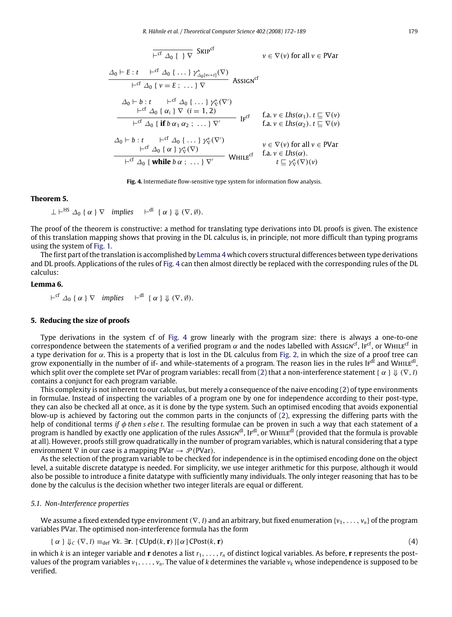<span id="page-7-2"></span>
$$
\frac{\overline{f} \circ \overline{f} \wedge \overline{f} \wedge \overline{f}}{\overline{f} \wedge \overline{f} \wedge \overline{f}} \wedge \overline{f} \wedge \overline{f} \wedge \overline{f}} \qquad v \in \nabla(v) \text{ for all } v \in \text{PVar}
$$
\n
$$
\frac{\Delta_0 \vdash E : t \quad \overline{f} \wedge \overline{f} \wedge \overline{f} \wedge \overline{f} \wedge \overline{f} \wedge \overline{f} \wedge \overline{f} \wedge \overline{f} \wedge \overline{f} \wedge \overline{f} \wedge \overline{f} \wedge \overline{f} \wedge \overline{f} \wedge \overline{f} \wedge \overline{f} \wedge \overline{f} \wedge \overline{f} \wedge \overline{f} \wedge \overline{f} \wedge \overline{f} \wedge \overline{f} \wedge \overline{f} \wedge \overline{f} \wedge \overline{f} \wedge \overline{f} \wedge \overline{f} \wedge \overline{f} \wedge \overline{f} \wedge \overline{f} \wedge \overline{f} \wedge \overline{f} \wedge \overline{f} \wedge \overline{f} \wedge \overline{f} \wedge \overline{f} \wedge \overline{f} \wedge \overline{f} \wedge \overline{f} \wedge \overline{f} \wedge \overline{f} \wedge \overline{f} \wedge \overline{f} \wedge \overline{f} \wedge \overline{f} \wedge \overline{f} \wedge \overline{f} \wedge \overline{f} \wedge \overline{f} \wedge \overline{f} \wedge \overline{f} \wedge \overline{f} \wedge \overline{f} \wedge \overline{f} \wedge \overline{f} \wedge \overline{f} \wedge \overline{f} \wedge \overline{f} \wedge \overline{f} \wedge \overline{f} \wedge \overline{f} \wedge \overline{f} \wedge \overline{f} \wedge \overline{f} \wedge \overline{f} \wedge \overline{f} \wedge \overline{f} \wedge \overline{f} \wedge \overline{f} \wedge \overline{f} \wedge \overline{f
$$

**Fig. 4.** Intermediate flow-sensitive type system for information flow analysis.

# **Theorem 5.**

 $\perp \vdash^{HS} \varDelta_0 {\alpha} \nvert \nabla$  *implies*  $\vdash^{dl} {\{\alpha\} \Downarrow (\nabla, \emptyset)}.$ 

The proof of the theorem is constructive: a method for translating type derivations into DL proofs is given. The existence of this translation mapping shows that proving in the DL calculus is, in principle, not more difficult than typing programs using the system of [Fig.](#page-2-1) [1.](#page-2-1)

The first part of the translation is accomplished by [Lemma](#page-6-5) [4](#page-6-5) which covers structural differences between type derivations and DL proofs. Applications of the rules of [Fig.](#page-7-2) [4](#page-7-2) can then almost directly be replaced with the corresponding rules of the DL calculus:

# **Lemma 6.**

<span id="page-7-1"></span> $\vdash^{\text{cf}} \Delta_0 \{\alpha \} \nabla$  *implies*  $\vdash^{\text{dl}} \{\alpha \} \Downarrow (\nabla, \emptyset).$ 

#### <span id="page-7-0"></span>**5. Reducing the size of proofs**

Type derivations in the system cf of [Fig.](#page-7-2) [4](#page-7-2) grow linearly with the program size: there is always a one-to-one correspondence between the statements of a verified program  $\alpha$  and the nodes labelled with Assıcn<sup>cf</sup>, Ir<sup>cf</sup>, or WHILE<sup>cf</sup> in a type derivation for  $\alpha$ . This is a property that is lost in the DL calculus from [Fig.](#page-5-0) [2,](#page-5-0) in which the size of a proof tree can grow exponentially in the number of if- and while-statements of a program. The reason lies in the rules IF<sup>dl</sup> and WHILE<sup>dl</sup>, which split over the complete set PVar of program variables: recall from [\(2\)](#page-4-2) that a non-interference statement { α } ⇓ (∇,*I*) contains a conjunct for each program variable.

This complexity is not inherent to our calculus, but merely a consequence of the naive encoding [\(2\)](#page-4-2) of type environments in formulae. Instead of inspecting the variables of a program one by one for independence according to their post-type, they can also be checked all at once, as it is done by the type system. Such an optimised encoding that avoids exponential blow-up is achieved by factoring out the common parts in the conjuncts of [\(2\)](#page-4-2), expressing the differing parts with the help of conditional terms *if* φ *then s else t*. The resulting formulae can be proven in such a way that each statement of a program is handled by exactly one application of the rules Assign<sup>dl</sup>, Ir<sup>dl</sup>, or WHILE<sup>dl</sup> (provided that the formula is provable at all). However, proofs still grow quadratically in the number of program variables, which is natural considering that a type environment  $\nabla$  in our case is a mapping PVar  $\rightarrow \mathcal{P}$  (PVar).

As the selection of the program variable to be checked for independence is in the optimised encoding done on the object level, a suitable discrete datatype is needed. For simplicity, we use integer arithmetic for this purpose, although it would also be possible to introduce a finite datatype with sufficiently many individuals. The only integer reasoning that has to be done by the calculus is the decision whether two integer literals are equal or different.

#### *5.1. Non-Interference properties*

We assume a fixed extended type environment (∇, *I*) and an arbitrary, but fixed enumeration {*v*<sub>1</sub>, . . . , *v<sub>n</sub>*} of the program variables PVar. The optimised non-interference formula has the form

<span id="page-7-3"></span>
$$
\{\alpha\} \downarrow_{\mathcal{C}} (\nabla, I) \equiv_{\text{def}} \forall k. \exists \mathbf{r}. \{\text{CUpd}(k, \mathbf{r})\} [\alpha] \text{CPost}(k, \mathbf{r}) \tag{4}
$$

in which *k* is an integer variable and **r** denotes a list *r*1, . . . ,*r<sup>n</sup>* of distinct logical variables. As before, **r** represents the postvalues of the program variables  $v_1, \ldots, v_n$ . The value of *k* determines the variable  $v_k$  whose independence is supposed to be verified.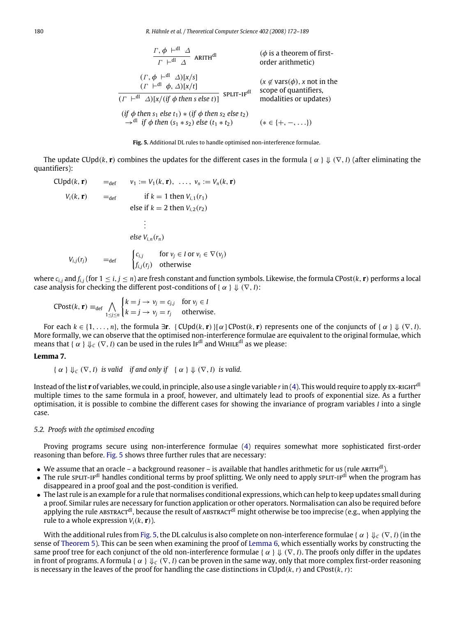<span id="page-8-0"></span>180 *R. Hähnle et al. / Theoretical Computer Science 402 (2008) 172–189*

$$
\frac{\Gamma, \phi \vdash^{\text{dl}} \Delta}{\Gamma \vdash^{\text{dl}} \Delta} \text{ ARITH}^{\text{dl}}
$$
\n
$$
(\phi \text{ is a theorem of first-order arithmetic})
$$
\n
$$
\frac{(\Gamma, \phi \vdash^{\text{dl}} \Delta)[x/s]}{(\Gamma \vdash^{\text{dl}} \phi, \Delta)[x/t]}
$$
\n
$$
\frac{(\chi \notin \text{vars}(\phi), x \text{ not in the scope of quantifiers})}{(\Gamma \vdash^{\text{dl}} \Delta)[x/(if \phi \text{ then } s \text{ else } t)]} \text{ SPIIT-IF}^{\text{dl}}
$$
\nsop of quantifiers, modalities or updates)\n
$$
(\text{if } \phi \text{ then } s_1 \text{ else } t_1) * (\text{if } \phi \text{ then } s_2 \text{ else } t_2)
$$
\n
$$
\rightarrow^{\text{dl}} \text{ if } \phi \text{ then } (s_1 * s_2) \text{ else } (t_1 * t_2) \qquad (* \in \{+, -, ... \})
$$

**Fig. 5.** Additional DL rules to handle optimised non-interference formulae.

The update CUpd(k, **r**) combines the updates for the different cases in the formula {  $\alpha$  }  $\parallel$  ( $\nabla$ , *I*) (after eliminating the quantifiers):

CUpd(k, **r**) =  
\n
$$
V_1 := V_1(k, \mathbf{r}), \dots, v_n := V_n(k, \mathbf{r})
$$
\n
$$
V_i(k, \mathbf{r}) =_{def} \quad \text{if } k = 1 \text{ then } V_{i,1}(r_1)
$$
\n
$$
\text{else if } k = 2 \text{ then } V_{i,2}(r_2)
$$
\n
$$
\vdots
$$
\n
$$
\text{else } V_{i,n}(r_n)
$$
\n
$$
V_{i,j}(r_j) =_{def} \quad \begin{cases} c_{i,j} & \text{for } v_j \in I \text{ or } v_i \in \nabla(v_j) \\ f_{i,j}(r_j) & \text{otherwise} \end{cases}
$$

where  $c_{i,j}$  and  $f_{i,j}$  (for  $1 \leq i, j \leq n$ ) are fresh constant and function symbols. Likewise, the formula CPost $(k, r)$  performs a local case analysis for checking the different post-conditions of { $\alpha$  }  $\Downarrow$  ( $\nabla$ , *I*):

$$
\text{CPost}(k, \mathbf{r}) \equiv_{\text{def}} \bigwedge_{1 \le j \le n} \begin{cases} k = j \to v_j = c_{j,j} & \text{for } v_j \in I \\ k = j \to v_j = r_j & \text{otherwise.} \end{cases}
$$

For each  $k \in \{1, \ldots, n\}$ , the formula  $\exists$ **r**. { CUpd( $k$ , **r**)}[ $\alpha$ ] CPost( $k$ , **r**) represents one of the conjuncts of { $\alpha$  }  $\Downarrow$  ( $\nabla$ , *I*). More formally, we can observe that the optimised non-interference formulae are equivalent to the original formulae, which means that {  $\alpha$  }  $\Downarrow_C (\nabla, I)$  can be used in the rules IF<sup>dl</sup> and WHILE<sup>dl</sup> as we please:

# **Lemma 7.**

$$
\{\alpha\} \Downarrow_c (\nabla, I)
$$
 is valid if and only if  $\{\alpha\} \Downarrow (\nabla, I)$  is valid.

Instead of the list **r** of variables, we could, in principle, also use a single variable r in [\(4\)](#page-7-3). This would require to apply EX-RIGHT<sup>dl</sup> multiple times to the same formula in a proof, however, and ultimately lead to proofs of exponential size. As a further optimisation, it is possible to combine the different cases for showing the invariance of program variables *I* into a single case.

## *5.2. Proofs with the optimised encoding*

Proving programs secure using non-interference formulae [\(4\)](#page-7-3) requires somewhat more sophisticated first-order reasoning than before. [Fig.](#page-8-0) [5](#page-8-0) shows three further rules that are necessary:

- We assume that an oracle a background reasoner is available that handles arithmetic for us (rule ARITH<sup>dl</sup>).
- The rule split-if<sup>dl</sup> handles conditional terms by proof splitting. We only need to apply split-if<sup>dl</sup> when the program has disappeared in a proof goal and the post-condition is verified.
- The last rule is an example for a rule that normalises conditional expressions, which can help to keep updates small during a proof. Similar rules are necessary for function application or other operators. Normalisation can also be required before applying the rule ABSTRACT<sup>dl</sup>, because the result of ABSTRACT<sup>dl</sup> might otherwise be too imprecise (e.g., when applying the rule to a whole expression  $V_i(k, r)$ ).

<span id="page-8-1"></span>With the additional rules from [Fig.](#page-8-0) [5,](#page-8-0) the DL calculus is also complete on non-interference formulae { $\alpha \} \psi_c (\nabla, I)$  (in the sense of [Theorem](#page-6-4) [5\)](#page-6-4). This can be seen when examining the proof of [Lemma](#page-7-1) [6,](#page-7-1) which essentially works by constructing the same proof tree for each conjunct of the old non-interference formulae { $\alpha$  }  $\Downarrow$  ( $\nabla$ , *I*). The proofs only differ in the updates in front of programs. A formula { $\alpha$  }  $\downarrow$ <sub>*C*</sub> ( $\nabla$ , *I*) can be proven in the same way, only that more complex first-order reasoning is necessary in the leaves of the proof for handling the case distinctions in  $\text{CUpd}(k, r)$  and  $\text{CPost}(k, r)$ :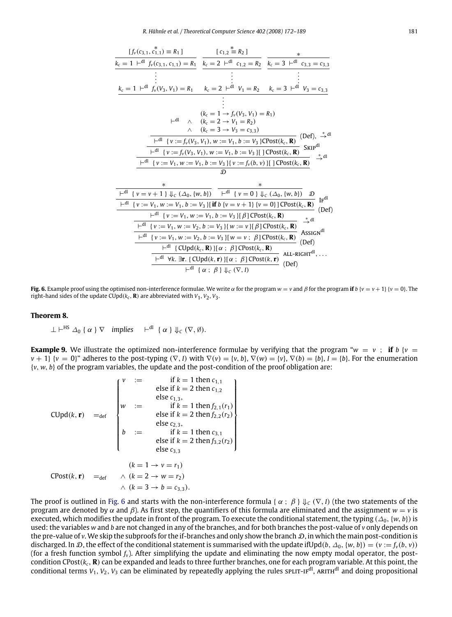<span id="page-9-0"></span>
$$
\frac{[f_v(c_{3,1}, c_{1,1}^*) = R_1]}{k_c = 1 +^{d1} f_v(c_{3,1}, c_{1,1}) = R_1} \quad \frac{[c_{1,2}^* = R_2]}{k_c = 2 +^{d1} c_{1,2} = R_2} \quad \frac{*}{k_c = 3 +^{d1} c_{3,3} = c_{3,3}} \cdot \frac{1}{k_c = 1 +^{d1} f_v(V_3, V_1) = R_1} \quad \frac{1}{k_c = 2 +^{d1} V_1 = R_2} \quad k_c = 3 +^{d1} V_3 = c_{3,3} \cdot \frac{1}{k_c} = \frac{1}{k_c} \cdot \frac{1}{k_c} \cdot \frac{1}{k_c} = \frac{1}{k_c} \cdot \frac{1}{k_c} \cdot \frac{1}{k_c} = \frac{1}{k_c} \cdot \frac{1}{k_c} \cdot \frac{1}{k_c} = \frac{1}{k_c} \cdot \frac{1}{k_c} \cdot \frac{1}{k_c} = \frac{1}{k_c} \cdot \frac{1}{k_c} \cdot \frac{1}{k_c} = \frac{1}{k_c} \cdot \frac{1}{k_c} \cdot \frac{1}{k_c} = \frac{1}{k_c} \cdot \frac{1}{k_c} \cdot \frac{1}{k_c} = \frac{1}{k_c} \cdot \frac{1}{k_c} \cdot \frac{1}{k_c} = \frac{1}{k_c} \cdot \frac{1}{k_c} \cdot \frac{1}{k_c} = \frac{1}{k_c} \cdot \frac{1}{k_c} \cdot \frac{1}{k_c} = \frac{1}{k_c} \cdot \frac{1}{k_c} \cdot \frac{1}{k_c} = \frac{1}{k_c} \cdot \frac{1}{k_c} \cdot \frac{1}{k_c} = \frac{1}{k_c} \cdot \frac{1}{k_c} \cdot \frac{1}{k_c} = \frac{1}{k_c} \cdot \frac{1}{k_c} \cdot \frac{1}{k_c} = \frac{1}{k_c} \cdot \frac{1}{k_c} \cdot \frac{1}{k_c} = \frac{1}{k_c} \cdot \frac{1}{k_c} \cdot \frac{1}{k_c} = \frac{1}{k_c} \cdot \frac{1}{k_c} \cdot \frac{1}{k_c} = \frac{1}{k_c} \cdot \frac{1}{k_c} \cdot \frac{1}{k_c} = \frac{1}{k_c} \cdot \frac{1}{k_c} \cdot \frac{
$$

**Fig. 6.** Example proof using the optimised non-interference formulae. We write  $\alpha$  for the program  $w = v$  and  $\beta$  for the program **if**  $b$  { $v = v + 1$ } { $v = 0$ }. The right-hand sides of the update  $CUpd(k_c, \mathbf{R})$  are abbreviated with  $V_1$ ,  $V_2$ ,  $V_3$ .

#### **Theorem 8.**

 $\perp \vdash^{\text{HS}} \varDelta_0 \{ \alpha \} \nabla$  *implies*  $\vdash^{\text{dl}} \{ \alpha \} \Downarrow_c (\nabla, \emptyset).$ 

**Example 9.** We illustrate the optimized non-interference formulae by verifying that the program " $w = v$ ; if *b* {*v* =  $v + 1$  { $v = 0$ }" adheres to the post-typing  $(\nabla, I)$  with  $\nabla(v) = \{v, b\}$ ,  $\nabla(w) = \{v\}$ ,  $\nabla(b) = \{b\}$ ,  $I = \{b\}$ . For the enumeration {*v*, *w*, *b*} of the program variables, the update and the post-condition of the proof obligation are:

| \n $v := \text{if } k = 1 \text{ then } c_{1,1}$ \n                   | \n $\text{else if } k = 2 \text{ then } c_{1,2}$ \n |
|-----------------------------------------------------------------------|-----------------------------------------------------|
| \n $w := \text{else } c_{1,3},$ \n                                    |                                                     |
| \n $w := \text{else } \text{if } k = 1 \text{ then } f_{2,1}(r_1)$ \n |                                                     |
| \n $\text{else if } k = 2 \text{ then } f_{2,2}(r_2)$ \n              |                                                     |
| \n $b := \text{else } c_{2,3},$ \n                                    |                                                     |
| \n $b := \text{else } \text{if } k = 1 \text{ then } c_{3,1}$ \n      |                                                     |
| \n $\text{else if } k = 2 \text{ then } f_{3,2}(r_2)$ \n              |                                                     |
| \n $\text{else } c_{3,3}$ \n                                          |                                                     |
| \n $(k = 1 \rightarrow v = r_1)$ \n                                   |                                                     |
| \n $CPost(k, r) = -\text{def } \land (k = 2 \rightarrow w = r_2)$ \n  |                                                     |
| \n $\land (k = 3 \rightarrow b = c_{3,3}).$ \n                        |                                                     |

The proof is outlined in [Fig.](#page-9-0) [6](#page-9-0) and starts with the non-interference formula {  $\alpha$ ;  $\beta$  }  $\Downarrow_C (\nabla, I)$  (the two statements of the program are denoted by α and β). As first step, the quantifiers of this formula are eliminated and the assignment  $w = v$  is executed, which modifies the update in front of the program. To execute the conditional statement, the typing ( $\Delta_0$ ,  $\{w, b\}$ ) is used: the variables *w* and *b* are not changed in any of the branches, and for both branches the post-value of *v* only depends on the pre-value of *v*. We skip the subproofs for the if-branches and only show the branch  $D$ , in which the main post-condition is discharged. In D, the effect of the conditional statement is summarised with the update ifUpd( $b$ ,  $\Delta_0$ ,  $\{w, b\}$ ) = ( $v := f_v(b, v)$ ) (for a fresh function symbol *fv*). After simplifying the update and eliminating the now empty modal operator, the postcondition CPost(*kc*, **R**) can be expanded and leads to three further branches, one for each program variable. At this point, the conditional terms  $V_1$ ,  $V_2$ ,  $V_3$  can be eliminated by repeatedly applying the rules sp $LIT-H<sup>dl</sup>$ , ARITH<sup>dl</sup> and doing propositional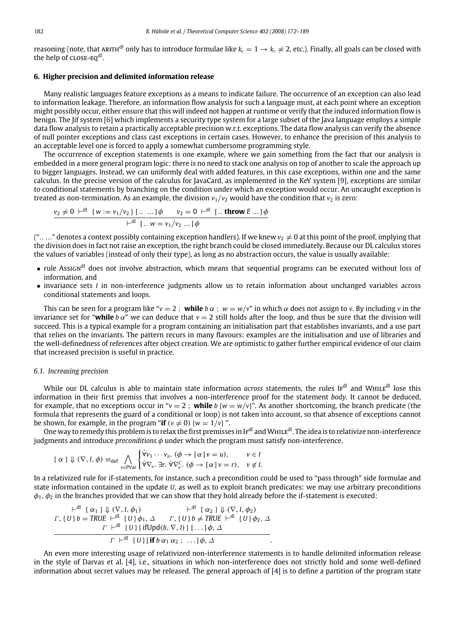reasoning (note, that ARITH<sup>dl</sup> only has to introduce formulae like  $k_c = 1 \rightarrow k_c \neq 2$ , etc.). Finally, all goals can be closed with the help of CLOSE-EQ<sup>dl</sup>.

### <span id="page-10-0"></span>**6. Higher precision and delimited information release**

Many realistic languages feature exceptions as a means to indicate failure. The occurrence of an exception can also lead to information leakage. Therefore, an information flow analysis for such a language must, at each point where an exception might possibly occur, either ensure that this will indeed not happen at runtime or verify that the induced information flow is benign. The Jif system [\[6\]](#page-16-4) which implements a security type system for a large subset of the Java language employs a simple data flow analysis to retain a practically acceptable precision w.r.t. exceptions. The data flow analysis can verify the absence of null pointer exceptions and class cast exceptions in certain cases. However, to enhance the precision of this analysis to an acceptable level one is forced to apply a somewhat cumbersome programming style.

The occurrence of exception statements is one example, where we gain something from the fact that our analysis is embedded in a more general program logic: there is no need to stack one analysis on top of another to scale the approach up to bigger languages. Instead, we can uniformly deal with added features, in this case exceptions, within one and the same calculus. In the precise version of the calculus for JavaCard, as implemented in the KeY system [\[9\]](#page-16-6), exceptions are similar to conditional statements by branching on the condition under which an exception would occur. An uncaught exception is treated as non-termination. As an example, the division  $v_1/v_2$  would have the condition that  $v_2$  is zero:

$$
\frac{v_2 \neq 0 \ \vdash^{\text{dl}} \ \{w := v_1/v_2\} \ [\dots \dots] \phi \qquad v_2 = 0 \ \vdash^{\text{dl}} \ [\dots \text{throw } E \dots] \phi}{\vdash^{\text{dl}} \ [\dots \ w = v_1/v_2 \dots] \phi}
$$

("....." denotes a context possibly containing exception handlers). If we knew  $v_2 \neq 0$  at this point of the proof, implying that the division does in fact not raise an exception, the right branch could be closed immediately. Because our DL calculus stores the values of variables (instead of only their type), as long as no abstraction occurs, the value is usually available:

- rule Assign<sup>dl</sup> does not involve abstraction, which means that sequential programs can be executed without loss of information, and
- invariance sets *I* in non-interference judgments allow us to retain information about unchanged variables across conditional statements and loops.

This can be seen for a program like " $v = 2$ ; **while**  $b \alpha$ ;  $w = w/v$ " in which  $\alpha$  does not assign to *v*. By including *v* in the invariance set for "while  $b \alpha$ " we can deduce that  $v = 2$  still holds after the loop, and thus be sure that the division will succeed. This is a typical example for a program containing an initialisation part that establishes invariants, and a use part that relies on the invariants. The pattern recurs in many flavours: examples are the initialisation and use of libraries and the well-definedness of references after object creation. We are optimistic to gather further empirical evidence of our claim that increased precision is useful in practice.

# *6.1. Increasing precision*

While our DL calculus is able to maintain state information *across* statements, the rules IF<sup>dl</sup> and WHILE<sup>dl</sup> lose this information in their first premiss that involves a non-interference proof for the statement *body*. It cannot be deduced, for example, that no exceptions occur in " $v = 2$ ; while  $b \{w = w/v\}$ ". As another shortcoming, the branch predicate (the formula that represents the guard of a conditional or loop) is not taken into account, so that absence of exceptions cannot be shown, for example, in the program "**if**  $(v \neq 0)$  { $w = 1/v$ } ".

One way to remedy this problem is to relax the first premisses in I $F^{dl}$  and WHILE<sup>dl</sup>. The idea is to relativize non-interference judgments and introduce *preconditions* φ under which the program must satisfy non-interference.

$$
\{\alpha\} \Downarrow (\nabla, I, \phi) \equiv_{\text{def}} \bigwedge_{v \in \text{PVar}} \begin{cases} \forall v_1 \cdots v_n. \ (\phi \rightarrow [\alpha] \, v = u), & v \in I \\ \forall \nabla_v. \ \exists r. \ \forall \nabla_v^C. \ (\phi \rightarrow [\alpha] \, v = r), & v \notin I. \end{cases}
$$

In a relativized rule for if-statements, for instance, such a precondition could be used to "pass through" side formulae and state information contained in the update *U*, as well as to exploit branch predicates: we may use arbitrary preconditions  $\phi_1$ ,  $\phi_2$  in the branches provided that we can show that they hold already before the if-statement is executed:

$$
\begin{array}{c}\n\vdash^{\text{dl}} \{\alpha_{1}\} \Downarrow (\nabla, I, \phi_{1}) & \vdash^{\text{dl}} \{\alpha_{2}\} \Downarrow (\nabla, I, \phi_{2}) \\
\Gamma, \{U\}b = \text{TRUE} \vdash^{\text{dl}} \{U\} \phi_{1}, \Delta & \Gamma, \{U\}b \neq \text{TRUE} \vdash^{\text{dl}} \{U\} \phi_{2}, \Delta \\
\hline\n\Gamma \vdash^{\text{dl}} \{U\} \{\text{ifUpd}(b, \nabla, I)\} \ [\ldots] \phi, \Delta \\
\hline\n\Gamma \vdash^{\text{dl}} \{U\} \{\text{if } b \alpha_{1} \alpha_{2} \ ; \ \ldots] \phi, \Delta\n\end{array}
$$

An even more interesting usage of relativized non-interference statements is to handle delimited information release in the style of Darvas et al. [\[4\]](#page-16-2), i.e., situations in which non-interference does not strictly hold and some well-defined information about secret values may be released. The general approach of [\[4\]](#page-16-2) is to define a partition of the program state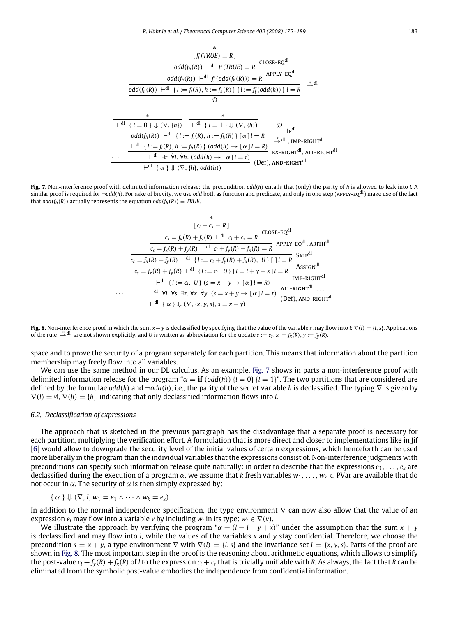<span id="page-11-0"></span>
$$
f'_i \text{(TRUE)} = R \text{ ]}
$$
\n
$$
\frac{\text{odd}(f_h(R)) + \text{dl} f'_i \text{(TRUE)} = R}{\text{odd}(f_h(R)) + \text{dl} f'_i \text{(dtd)}(f_h(R))} = R \text{APPLY-EQ}^{\text{dl}}
$$
\n
$$
\frac{\text{odd}(f_h(R)) + \text{dl} \{1 := f_l(R), h := f_h(R)\} \{1 := f'_l(\text{odd}(h))\} \} = R \Rightarrow^{\text{*} \text{dl}}
$$
\n
$$
\frac{\text{ad}}{\text{dtd}} \left\{\frac{1}{1 - \text{dl} + \text{dl} \{1 = \text{dl} + \text{dl} \{1 = \text{dl} + \text{dl} \{1 = \text{dl} + \text{dl} \{1 = \text{dl} + \text{dl} \{1 = \text{dl} + \text{dl} \{1 = \text{dl} + \text{dl} + \text{dl} + \text{dl} + \text{dl} + \text{dl} + \text{dl} + \text{dl} + \text{dl} + \text{dl} + \text{dl} + \text{dl} + \text{dl} + \text{dl} + \text{dl} + \text{dl} + \text{dl} + \text{dl} + \text{dl} + \text{dl} + \text{dl} + \text{dl} + \text{dl} + \text{dl} + \text{dl} + \text{dl} + \text{dl} + \text{dl} + \text{dl} + \text{dl} + \text{dl} + \text{dl} + \text{dl} + \text{dl} + \text{dl} + \text{dl} + \text{dl} + \text{dl} + \text{dl} + \text{dl} + \text{dl} + \text{dl} + \text{dl} + \text{dl} + \text{dl} + \text{dl} + \text{dl} + \text{dl} + \text{dl} + \text{dl} + \text{dl} + \text{dl} + \text{dl} + \text{dl} + \text{dl} + \text{dl} + \text{dl} + \text{dl} + \text{dl} + \text{dl} + \text{dl} + \text{dl} + \text{dl} + \text{dl} + \text{dl} + \text{dl} + \text{dl} + \text{dl} + \text{dl} + \text{dl} + \text{dl} + \text{dl} + \text{dl} + \text{dl} + \text{dl} + \text{dl} + \text{dl} + \text{dl} + \
$$

$$
\frac{\text{odd}(f_h(R)) \ \vdash^{dl} \ \{l := f_l(R), h := f_h(R)\} \ [\alpha] \ l = R}}{\vdash^{dl} \ \{l := f_l(R), h := f_h(R)\} \ (\text{odd}(h) \ \to [\alpha] \ l = R)} \quad \stackrel{*}{\to}^{dl} \ \cdot \text{IMP-RIGHT}^{dl}}{\text{EX-RIGHT}^{dl}, \ \text{ALL-RIGHT}^{dl}}
$$
\n
$$
\dots \quad \frac{\vdash^{dl} \ \exists r. \ \forall l. \ \forall h. \ (\text{odd}(h) \ \to [\alpha] \ l = r)}{\vdash^{dl} \ \{ \alpha \} \ \Downarrow (\nabla, \{h\}, \text{odd}(h))} \ (\text{Def}), \ \text{AND-RIGHT}^{dl}
$$

<span id="page-11-1"></span>**Fig. 7.** Non-interference proof with delimited information release: the precondition *odd*(*h*) entails that (only) the parity of *h* is allowed to leak into *l*. A similar proof is required for ¬*odd*(*h*). For sake of brevity, we use *odd* both as function and predicate, and only in one step (apply-eqdl) make use of the fact that  $odd(f_h(R))$  actually represents the equation  $odd(f_h(R)) = TRUE$ .

$$
\frac{[c_l + c_s = R]}{c_s = f_x(R) + f_y(R) + d! \, c_l + c_s = R} \text{ CLOSE-EQ}^{dl}
$$
\n
$$
\frac{c_s = f_x(R) + f_y(R) + d! \, c_l + c_s = R}{c_s = f_x(R) + f_y(R) + d! \, c_l + f_y(R) + f_x(R) = R} \text{ APRLY-EQ}^{dl}, \text{ ARITH}^{dl}
$$
\n
$$
\frac{c_s = f_x(R) + f_y(R) + d! \, \{l := c_l + f_y(R) + f_x(R), U\} \, [1] = R}{c_s = f_x(R) + f_y(R) + d! \, \{l := c_l, U\} \, [1] = l + y + x] \, l = R} \text{ ASSIGN}^{dl}
$$
\n
$$
\frac{+d! \, \{l := c_l, U\} \, (s = x + y \to [\alpha] \, l = R)}{[MP-RIGHT} \text{RISTGN}^{dl}
$$
\n
$$
\frac{+d! \, \{l := c_l, U\} \, (s = x + y \to [\alpha] \, l = r)}{[Q] = f}, \text{ AND-RIGHT}^{dl}
$$

**Fig. 8.** Non-interference proof in which the sum *x* + *y* is declassified by specifying that the value of the variable *s* may flow into *l*: ∇(*l*) = {*l*, *s*}. Applications of the rule  $\stackrel{*}{\rightarrow} \stackrel{d}{\rightarrow}$  are not shown explicitly, and *U* is written as abbreviation for the update  $s := c_s$ ,  $x := f_x(R)$ ,  $y := f_y(R)$ .

space and to prove the security of a program separately for each partition. This means that information about the partition membership may freely flow into all variables.

We can use the same method in our DL calculus. As an example, [Fig.](#page-11-0) [7](#page-11-0) shows in parts a non-interference proof with delimited information release for the program " $\alpha = \mathbf{if}(\text{odd}(h))$  { $l = 0$ } { $l = 1$ }". The two partitions that are considered are defined by the formulae *odd*(*h*) and ¬*odd*(*h*), i.e., the parity of the secret variable *h* is declassified. The typing ∇ is given by  $\nabla(l) = \emptyset$ ,  $\nabla(h) = \{h\}$ , indicating that only declassified information flows into *l*.

### *6.2. Declassification of expressions*

The approach that is sketched in the previous paragraph has the disadvantage that a separate proof is necessary for each partition, multiplying the verification effort. A formulation that is more direct and closer to implementations like in Jif [\[6\]](#page-16-4) would allow to downgrade the security level of the initial values of certain expressions, which henceforth can be used more liberally in the program than the individual variables that the expressions consist of. Non-interference judgments with preconditions can specify such information release quite naturally: in order to describe that the expressions *e*1, . . . , *e<sup>k</sup>* are declassified during the execution of a program α, we assume that *k* fresh variables *w*1, . . . , *w<sup>k</sup>* ∈ PVar are available that do not occur in  $\alpha$ . The security of  $\alpha$  is then simply expressed by:

$$
\{\alpha\}\Downarrow(\nabla, I, w_1=e_1\wedge\cdots\wedge w_k=e_k).
$$

In addition to the normal independence specification, the type environment ∇ can now also allow that the value of an expression  $e_i$  may flow into a variable *v* by including  $w_i$  in its type:  $w_i \in \nabla(v)$ .

We illustrate the approach by verifying the program " $\alpha = (l - l + y + x)$ " under the assumption that the sum  $x + y$ is declassified and may flow into *l*, while the values of the variables *x* and *y* stay confidential. Therefore, we choose the precondition  $s = x + y$ , a type environment  $\nabla$  with  $\nabla$ (*l*) = {*l*, *s*} and the invariance set *I* = {*x*, *y*, *s*}. Parts of the proof are shown in [Fig.](#page-11-1) [8.](#page-11-1) The most important step in the proof is the reasoning about arithmetic equations, which allows to simplify the post-value  $c_l + f_v(R) + f_x(R)$  of l to the expression  $c_l + c_s$  that is trivially unifiable with R. As always, the fact that R can be eliminated from the symbolic post-value embodies the independence from confidential information.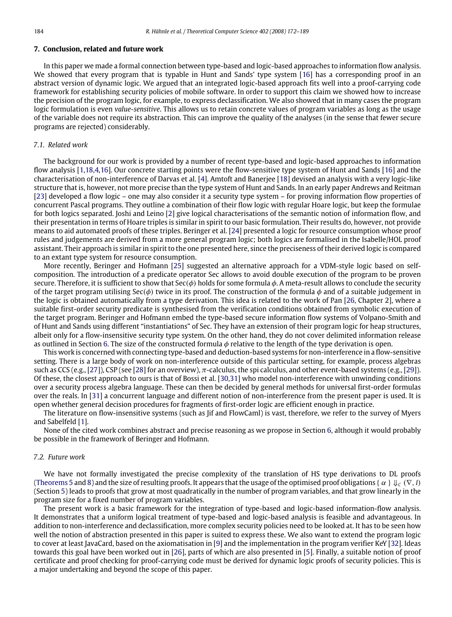### **7. Conclusion, related and future work**

In this paper we made a formal connection between type-based and logic-based approaches to information flow analysis. We showed that every program that is typable in Hunt and Sands' type system [\[16\]](#page-16-13) has a corresponding proof in an abstract version of dynamic logic. We argued that an integrated logic-based approach fits well into a proof-carrying code framework for establishing security policies of mobile software. In order to support this claim we showed how to increase the precision of the program logic, for example, to express declassification. We also showed that in many cases the program logic formulation is even *value-sensitive*. This allows us to retain concrete values of program variables as long as the usage of the variable does not require its abstraction. This can improve the quality of the analyses (in the sense that fewer secure programs are rejected) considerably.

# *7.1. Related work*

The background for our work is provided by a number of recent type-based and logic-based approaches to information flow analysis [\[1,](#page-16-0)[18](#page-17-0)[,4,](#page-16-2)[16\]](#page-16-13). Our concrete starting points were the flow-sensitive type system of Hunt and Sands [\[16\]](#page-16-13) and the characterisation of non-interference of Darvas et al. [\[4\]](#page-16-2). Amtoft and Banerjee [\[18\]](#page-17-0) devised an analysis with a very logic-like structure that is, however, not more precise than the type system of Hunt and Sands. In an early paper Andrews and Reitman [\[23\]](#page-17-5) developed a flow logic – one may also consider it a security type system – for proving information flow properties of concurrent Pascal programs. They outline a combination of their flow logic with regular Hoare logic, but keep the formulae for both logics separated. Joshi and Leino [\[2\]](#page-16-1) give logical characterisations of the semantic notion of information flow, and their presentation in terms of Hoare triples is similar in spirit to our basic formulation. Their results do, however, not provide means to aid automated proofs of these triples. Beringer et al. [\[24\]](#page-17-6) presented a logic for resource consumption whose proof rules and judgements are derived from a more general program logic; both logics are formalised in the Isabelle/HOL proof assistant. Their approach is similar in spirit to the one presented here, since the preciseness of their derived logic is compared to an extant type system for resource consumption.

More recently, Beringer and Hofmann [\[25\]](#page-17-7) suggested an alternative approach for a VDM-style logic based on selfcomposition. The introduction of a predicate operator Sec allows to avoid double execution of the program to be proven secure. Therefore, it is sufficient to show that  $\text{Sec}(\phi)$  holds for some formula  $\phi$ . A meta-result allows to conclude the security of the target program utilising  $\text{Sec}(\phi)$  twice in its proof. The construction of the formula  $\phi$  and of a suitable judgement in the logic is obtained automatically from a type derivation. This idea is related to the work of Pan [\[26,](#page-17-8) Chapter 2], where a suitable first-order security predicate is synthesised from the verification conditions obtained from symbolic execution of the target program. Beringer and Hofmann embed the type-based secure information flow systems of Volpano-Smith and of Hunt and Sands using different "instantiations" of Sec. They have an extension of their program logic for heap structures, albeit only for a flow-insensitive security type system. On the other hand, they do not cover delimited information release as outlined in Section [6.](#page-10-0) The size of the constructed formula  $\phi$  relative to the length of the type derivation is open.

This work is concerned with connecting type-based and deduction-based systems for non-interference in a flow-sensitive setting. There is a large body of work on non-interference outside of this particular setting, for example, process algebras such as CCS (e.g., [\[27\]](#page-17-9)), CSP (see [\[28\]](#page-17-10) for an overview),  $\pi$ -calculus, the spi calculus, and other event-based systems (e.g., [\[29\]](#page-17-11)). Of these, the closest approach to ours is that of Bossi et al. [\[30](#page-17-12)[,31\]](#page-17-13) who model non-interference with unwinding conditions over a security process algebra language. These can then be decided by general methods for universal first-order formulas over the reals. In [\[31\]](#page-17-13) a concurrent language and different notion of non-interference from the present paper is used. It is open whether general decision procedures for fragments of first-order logic are efficient enough in practice.

The literature on flow-insensitive systems (such as Jif and FlowCaml) is vast, therefore, we refer to the survey of Myers and Sabelfeld [\[1\]](#page-16-0).

None of the cited work combines abstract and precise reasoning as we propose in Section [6,](#page-10-0) although it would probably be possible in the framework of Beringer and Hofmann.

#### *7.2. Future work*

We have not formally investigated the precise complexity of the translation of HS type derivations to DL proofs [\(Theorems](#page-6-4) [5](#page-6-4) and [8\)](#page-8-1) and the size of resulting proofs. It appears that the usage of the optimised proof obligations { $\alpha \nmid \psi_c$  ( $\nabla$ , *I*) (Section [5\)](#page-7-0) leads to proofs that grow at most quadratically in the number of program variables, and that grow linearly in the program size for a fixed number of program variables.

The present work is a basic framework for the integration of type-based and logic-based information-flow analysis. It demonstrates that a uniform logical treatment of type-based and logic-based analysis is feasible and advantageous. In addition to non-interference and declassification, more complex security policies need to be looked at. It has to be seen how well the notion of abstraction presented in this paper is suited to express these. We also want to extend the program logic to cover at least JavaCard, based on the axiomatisation in [\[9\]](#page-16-6) and the implementation in the program verifier KeY [\[32\]](#page-17-14). Ideas towards this goal have been worked out in [\[26\]](#page-17-8), parts of which are also presented in [\[5\]](#page-16-3). Finally, a suitable notion of proof certificate and proof checking for proof-carrying code must be derived for dynamic logic proofs of security policies. This is a major undertaking and beyond the scope of this paper.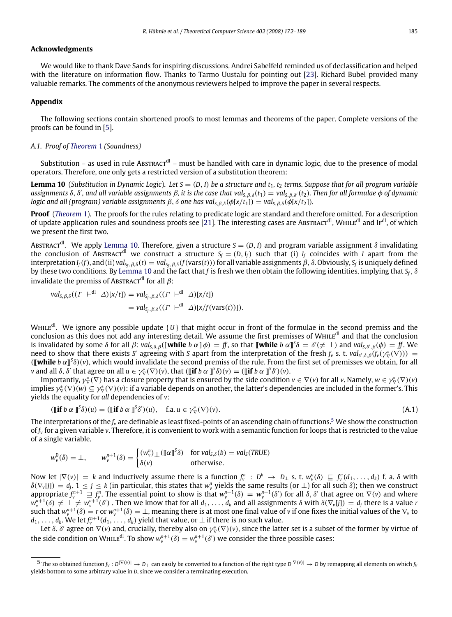# **Acknowledgments**

We would like to thank Dave Sands for inspiring discussions. Andrei Sabelfeld reminded us of declassification and helped with the literature on information flow. Thanks to Tarmo Uustalu for pointing out [\[23\]](#page-17-5). Richard Bubel provided many valuable remarks. The comments of the anonymous reviewers helped to improve the paper in several respects.

# **Appendix**

The following sections contain shortened proofs to most lemmas and theorems of the paper. Complete versions of the proofs can be found in [\[5\]](#page-16-3).

# *A.1. Proof of [Theorem](#page-6-6)* [1](#page-6-6) *(Soundness)*

Substitution – as used in rule Abstract<sup>dl</sup> – must be handled with care in dynamic logic, due to the presence of modal operators. Therefore, one only gets a restricted version of a substitution theorem:

<span id="page-13-0"></span>**Lemma 10** (*Substitution in Dynamic Logic*). Let  $S = (D, I)$  be a structure and  $t_1$ ,  $t_2$  terms. Suppose that for all program variable *assignments* δ, δ 0 *, and all variable assignments* β*, it is the case that valS*,β,δ(*t*1) = *valS*,β,δ <sup>0</sup>(*t*2)*. Then for all formulae* φ *of dynamic logic and all (program) variable assignments*  $\beta$ ,  $\delta$  *one has val*<sub>*S*, $\beta$ , $\delta$ ( $\phi$ [*x*/*t*<sub>1</sub>]) = *val*<sub>*S*, $\beta$ , $\delta$ ( $\phi$ [*x*/*t*<sub>2</sub>]).</sub></sub>

**Proof** (*[Theorem](#page-6-6)* [1\)](#page-6-6). The proofs for the rules relating to predicate logic are standard and therefore omitted. For a description of update application rules and soundness proofs see [\[21\]](#page-17-3). The interesting cases are Abstract<sup>dl</sup>, WHILE<sup>dl</sup> and IF<sup>dl</sup>, of which we present the first two.

Abstractdl *.* We apply [Lemma](#page-13-0) [10.](#page-13-0) Therefore, given a structure *S* = (*D*,*I*) and program variable assignment δ invalidating the conclusion of Abstract<sup>dl</sup> we construct a structure  $S_f = (D, I_f)$  such that (i)  $I_f$  coincides with *I* apart from the interpretation  $I_f(f)$ , and (ii)  $val_{S_f,\beta,\delta}(t) = val_{S_f,\beta,\delta}(f(vars(t)))$  for all variable assignments  $\beta$ ,  $\delta$ . Obviously,  $S_f$  is uniquely defined by these two conditions. By [Lemma](#page-13-0) [10](#page-13-0) and the fact that *f* is fresh we then obtain the following identities, implying that *Sf*, δ invalidate the premiss of Abstract<sup>dl</sup> for all  $\beta$ :

$$
\begin{aligned} \n\text{val}_{S,\beta,\delta}((\Gamma \ \vdash^{\text{dl}} \ \Delta)[x/t]) &= \text{val}_{S_f,\beta,\delta}((\Gamma \ \vdash^{\text{dl}} \ \Delta)[x/t]) \\ \n&= \text{val}_{S_f,\beta,\delta}((\Gamma \ \vdash^{\text{dl}} \ \Delta)[x/f(\text{vars}(t))]). \n\end{aligned}
$$

WHILE<sup>dl</sup>. We ignore any possible update {*U*} that might occur in front of the formulae in the second premiss and the conclusion as this does not add any interesting detail. We assume the first premisses of WHILE<sup>dl</sup> and that the conclusion is invalidated by some  $\delta$  for all  $\beta$ :  $val_{S,\delta,\beta}([\textbf{while } b \alpha] \phi) = \textbf{f}$ , so that  $[\![\textbf{while } b \alpha]\!]^S \delta = \delta'(\neq \bot)$  and  $val_{S,\delta',\beta}(\phi) = \textbf{f}$ . We need to show that there exists *S'* agreeing with *S* apart from the interpretation of the fresh  $f_v$  s. t.  $val_{S',\delta,\beta}(f_v(\gamma_{\nabla}^*(\nabla)))$  = ( $\llbracket$  **while**  $b \alpha \rrbracket^s \delta$ )(*v*), which would invalidate the second premiss of the rule. From the first set of premisses we obtain, for all *v* and all  $\delta$ ,  $\delta'$  that agree on all  $u \in \gamma_{\nabla}^*(\nabla)(v)$ , that ( $\llbracket \mathbf{if} \; b \; \alpha \; \rrbracket^s \delta)(v) = (\llbracket \mathbf{if} \; b \; \alpha \; \rrbracket^s \delta')(v)$ .

Importantly,  $\gamma_\nabla^*(\nabla)$  has a closure property that is ensured by the side condition  $v\in\nabla(v)$  for all  $v$ . Namely,  $w\in\gamma_\nabla^*(\nabla)(v)$ implies  $\gamma_\nabla^*(\nabla)(w)\subseteq\gamma_\nabla^*(\nabla)(v)$ : if a variable depends on another, the latter's dependencies are included in the former's. This yields the equality for *all* dependencies of *v*:

<span id="page-13-2"></span>
$$
(\llbracket \textbf{if } b \alpha \rrbracket^s \delta)(u) = (\llbracket \textbf{if } b \alpha \rrbracket^s \delta')(u), \quad \text{f.a. } u \in \gamma_{\nabla}^*(\nabla)(v). \tag{A.1}
$$

The interpretations of the *f<sup>v</sup>* are definable as least fixed-points of an ascending chain of functions.[5](#page-13-1) We show the construction of *f<sup>v</sup>* for a given variable *v*. Therefore, it is convenient to work with a semantic function for loops that is restricted to the value of a single variable.

$$
w_{\nu}^{0}(\delta) = \bot, \qquad w_{\nu}^{n+1}(\delta) = \begin{cases} (w_{\nu}^{n}) \bot (\llbracket \alpha \rrbracket^{S} \delta) & \text{for val}_{S,\delta}(b) = val_{S}(TRUE) \\ \delta(\nu) & \text{otherwise.} \end{cases}
$$

Now let  $|\nabla(v)| = k$  and inductively assume there is a function  $f_v^n : D^k \to D_\perp$  s. t.  $w_v^n(\delta) \sqsubseteq f_v^n(d_1, \ldots, d_k)$  f. a.  $\delta$  with  $\delta(\nabla_{\mathbf{v}}[j]) = d_j, 1 \leq j \leq k$  (in particular, this states that  $w_{\mathbf{v}}^n$  yields the same results (or  $\perp$ ) for all such  $\delta$ ); then we construct appropriate  $f_v^{n+1} \equiv f_v^n$ . The essential point to show is that  $w_v^{n+1}(\delta) = w_v^{n+1}(\delta)$  for all  $\delta$ ,  $\delta'$  that agree on  $\nabla(v)$  and where  $w_v^{n+1}(\delta) \neq \bot \neq w_v^{n+1}(\delta')$  . Then we know that for all  $d_1, \ldots, d_k$  and all assignments  $\delta$  with  $\delta(\nabla_v[j]) = d_j$  there is a value r such that  $w_v^{n+1}(\delta) = r$  or  $w_v^{n+1}(\delta) = \bot$ , meaning there is at most one final value of *v* if one fixes the initial values of the  $\nabla_v$  to  $d_1, \ldots, d_k$ . We let  $f_v^{n+1}(d_1, \ldots, d_k)$  yield that value, or  $\perp$  if there is no such value.

Let  $\delta$ ,  $\delta'$  agree on  $\nabla(v)$  and, crucially, thereby also on  $\gamma_\nabla^*(\nabla)(v)$ , since the latter set is a subset of the former by virtue of the side condition on WHILE<sup>dl</sup>. To show  $w_v^{n+1}(\delta) = w_v^{n+1}(\delta')$  we consider the three possible cases:

<span id="page-13-1"></span> $^{\mathsf{5}}$  The so obtained function  $f_{\mathsf{v}}: \mathsf{D}^{|\nabla(\mathsf{v})|}\to \mathsf{D}_\bot$  can easily be converted to a function of the right type  $\mathsf{D}^{|\nabla(\mathsf{v})|}\to \mathsf{D}$  by remapping all elements on which  $f_{\mathsf{v}}$ yields bottom to some arbitrary value in *D*, since we consider a terminating execution.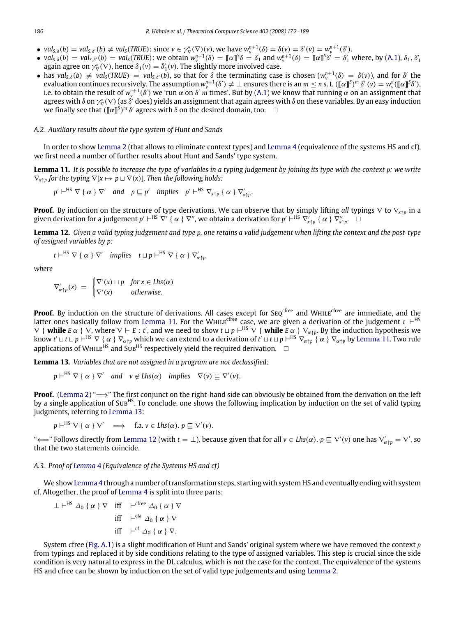- $val_{S,\delta}(b) = val_{S,\delta'}(b) \neq val_S(TRUE)$ : since  $v \in \gamma^*_{\nabla}(\nabla)(v)$ , we have  $w_v^{n+1}(\delta) = \delta(v) = \delta'(v) = w_v^{n+1}(\delta')$ .
- $val_{S,\delta}(b) = val_{S,\delta'}(b) = val_S(TRUE)$ : we obtain  $w_v^{n+1}(\delta) = ||\alpha||^S \delta = \delta_1$  and  $w_v^{n+1}(\delta) = ||\alpha||^S \delta' = \delta'_1$  where, by [\(A.1\)](#page-13-2),  $\delta_1$ ,  $\delta'_1$ again agree on  $\gamma_{\nabla}^*(\nabla)$ , hence  $\delta_1(v) = \delta'_1(v)$ . The slightly more involved case.
- has  $val_{S,\delta}(b) \neq val_{S}(TRUE) = val_{S,\delta'}(b)$ , so that for  $\delta$  the terminating case is chosen  $(w_v^{n+1}(\delta) = \delta(v))$ , and for  $\delta'$  the evaluation continues recursively. The assumption  $w_v^{n+1}(\delta')\neq\bot$  ensures there is an  $m\leq n$  s. t.  $(\llbracket\alpha\rrbracket^{\mathsf{S}})^m$   $\delta'(v)=w_v^n(\llbracket\alpha\rrbracket^{\mathsf{S}}\delta'),$ i.e. to obtain the result of  $w^{n+1}_v(\delta')$  we 'run  $\alpha$  on  $\delta'$  *m* times'. But by [\(A.1\)](#page-13-2) we know that running  $\alpha$  on an assignment that agrees with  $\delta$  on  $\gamma^*_\nabla\nabla$  (as  $\delta'$  does) yields an assignment that again agrees with  $\delta$  on these variables. By an easy induction we finally see that  $(\llbracket \alpha \rrbracket^s)^m$   $\delta'$  agrees with  $\delta$  on the desired domain, too.  $\Box$

#### *A.2. Auxiliary results about the type system of Hunt and Sands*

In order to show [Lemma](#page-6-0) [2](#page-6-0) (that allows to eliminate context types) and [Lemma](#page-6-5) [4](#page-6-5) (equivalence of the systems HS and cf), we first need a number of further results about Hunt and Sands' type system.

<span id="page-14-0"></span>**Lemma 11.** *It is possible to increase the type of variables in a typing judgement by joining its type with the context p: we write*  $\nabla_{x \uparrow p}$  for the typing  $\nabla [x \mapsto p \sqcup \nabla(x)]$ . Then the following holds:

$$
p' \vdash^{HS} \nabla \{ \alpha \} \nabla'
$$
 and  $p \sqsubseteq p'$  implies  $p' \vdash^{HS} \nabla_{x \uparrow p} \{ \alpha \} \nabla'_{x \uparrow p}.$ 

**Proof.** By induction on the structure of type derivations. We can observe that by simply lifting *all* typings ∇ to ∇<sub>*x*↑</sub>*p* in a given derivation for a judgement  $p' \vdash^{HS} \nabla'$  {  $\alpha$  }  $\nabla''$ , we obtain a derivation for  $p' \vdash^{HS} \nabla'_{x \uparrow p}$  {  $\alpha$  }  $\nabla''_{x \uparrow p}$ .

<span id="page-14-2"></span>**Lemma 12.** *Given a valid typing judgement and type p, one retains a valid judgement when lifting the context and the post-type of assigned variables by p:*

$$
t \vdash^{HS} \nabla \{ \alpha \} \nabla'
$$
 implies  $t \sqcup p \vdash^{HS} \nabla \{ \alpha \} \nabla'_{\alpha \uparrow p}$ 

*where*

$$
\nabla'_{\alpha \uparrow p}(x) = \begin{cases} \nabla'(x) \sqcup p & \text{for } x \in \text{Lhs}(\alpha) \\ \nabla'(x) & \text{otherwise.} \end{cases}
$$

**Proof.** By induction on the structure of derivations. All cases except for SEQ<sup>cfree</sup> and WHILE<sup>cfree</sup> are immediate, and the latter ones basically follow from [Lemma](#page-14-0) [11.](#page-14-0) For the WHILE<sup>cfree</sup> case, we are given a derivation of the judgement  $t \in H^S$  $\nabla \{$  **while**  $E \alpha$   $} \nabla$ , where  $\nabla \vdash E : t'$ , and we need to show  $t \sqcup p \vdash^{HS} \nabla \{$  **while**  $E \alpha$   $} \nabla \alpha_{tp}$ . By the induction hypothesis we know  $t'$   $\perp$   $t$   $\perp$   $p$   $\vdash$   $^{HS}$   $\nabla$  {  $\alpha$  }  $\nabla_{\alpha\uparrow p}$  which we can extend to a derivation of  $t'$   $\perp$   $t$   $\perp$   $p$   $\vdash$   $^{HS}$   $\nabla_{\alpha\uparrow p}$  {  $\alpha$  }  $\nabla_{\alpha\uparrow p}$  by [Lemma](#page-14-0) [11.](#page-14-0) Two rule applications of WHILE<sup>HS</sup> and Sub<sup>HS</sup> respectively yield the required derivation.  $\Box$ 

<span id="page-14-1"></span>**Lemma 13.** *Variables that are not assigned in a program are not declassified:*

$$
p \vdash^{HS} \nabla {\alpha} \nabla' \quad \text{and} \quad v \notin Lhs(\alpha) \quad implies \quad \nabla(v) \sqsubseteq \nabla'(v).
$$

**Proof.** [\(Lemma](#page-6-0) [2\)](#page-6-0) " $\implies$ " The first conjunct on the right-hand side can obviously be obtained from the derivation on the left by a single application of Sub<sup>HS</sup>. To conclude, one shows the following implication by induction on the set of valid typing judgments, referring to [Lemma](#page-14-1) [13:](#page-14-1)

 $p \vdash^{HS} \nabla \{ \alpha \} \nabla' \implies f.a. \ v \in Lhs(\alpha).$   $p \sqsubseteq \nabla'(v).$ 

" ← Follows directly from [Lemma](#page-14-2) [12](#page-14-2) (with *t* = ⊥), because given that for all *v* ∈ *Lhs*(α).  $p ⊆ ∇'(v)$  one has  $∇'_{α\dagger p} = ∇'$ , so that the two statements coincide.

# *A.3. Proof of [Lemma](#page-6-5)* [4](#page-6-5) *(Equivalence of the Systems HS and cf)*

We show [Lemma](#page-6-5) [4](#page-6-5) through a number of transformation steps, starting with system HS and eventually ending with system cf. Altogether, the proof of [Lemma](#page-6-5) [4](#page-6-5) is split into three parts:

$$
\perp \vdash^{HS} \varDelta_0 \{ \alpha \} \nabla \quad \text{iff} \quad \vdash^{cfree} \varDelta_0 \{ \alpha \} \nabla
$$
\n
$$
\text{iff} \quad \vdash^{cfa} \varDelta_0 \{ \alpha \} \nabla
$$
\n
$$
\text{iff} \quad \vdash^{cf} \varDelta_0 \{ \alpha \} \nabla.
$$

System cfree [\(Fig.](#page-0-5) [A.1\)](#page-0-5) is a slight modification of Hunt and Sands' original system where we have removed the context *p* from typings and replaced it by side conditions relating to the type of assigned variables. This step is crucial since the side condition is very natural to express in the DL calculus, which is not the case for the context. The equivalence of the systems HS and cfree can be shown by induction on the set of valid type judgements and using [Lemma](#page-6-0) [2.](#page-6-0)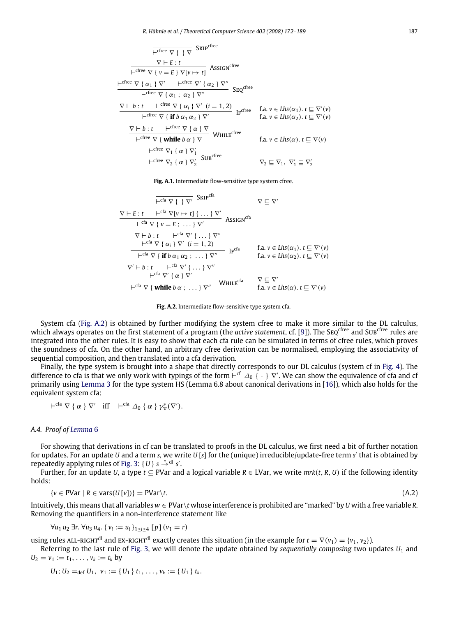$$
\frac{\nabla \vdash E : t}{\vdash \text{cfree } \nabla \{ v = E \} \nabla [v \mapsto t]} \n\text{ASSIGN}^{\text{cfree}}\n\frac{\nabla \vdash E : t}{\vdash \text{cfree } \nabla \{ v = E \} \nabla [v \mapsto t]} \n\text{ASSIGN}^{\text{cfree}}\n\frac{\vdash \text{cfree } \nabla \{ \alpha_1 \} \nabla' \quad \vdash \text{cfree } \nabla' \{ \alpha_2 \} \nabla''}{\vdash \text{cfree } \nabla \{ \alpha_1 \} \alpha_2 \} \nabla''}\n\frac{\nabla \vdash b : t \quad \vdash \text{cfree } \nabla \{ \alpha_i \} \nabla' \ (i = 1, 2)}{\vdash \text{cfree } \nabla \{ \text{if } b \alpha_1 \alpha_2 \} \nabla'} \n\text{IF}^{\text{cfree}} \n\text{Ia. } v \in \text{Lhs}(\alpha_1) . t \sqsubseteq \nabla'(v)\n\frac{\nabla \vdash b : t \quad \vdash \text{cfree } \nabla \{ \alpha \} \nabla}{\vdash \text{cfree } \nabla \{ \text{while } b \alpha \} \nabla} \n\text{WHILE}^{\text{cfree}} \n\text{Ia. } v \in \text{Lhs}(\alpha) . t \sqsubseteq \nabla(v)\n\frac{\vdash \text{cfree } \nabla_1 \{ \alpha \} \nabla'_1}{\vdash \text{cfree } \nabla_2 \{ \alpha \} \nabla'_2} \n\text{SUB}^{\text{cfree}} \n\text{V2} \subseteq \nabla_1, \nabla'_1 \subseteq \nabla'_2
$$

**Fig. A.1.** Intermediate flow-sensitive type system cfree.

$$
\frac{\nabla E : t \quad \leftarrow^{Ga} \nabla \{ \} \nabla' \quad \text{SKIP}^{Ga}}{\nabla E : t \quad \leftarrow^{Ga} \nabla \{ v \neq t \} \{ \dots \} \nabla' \quad \text{ASSIGN}^{Ga}} \quad \nabla \subseteq \nabla'
$$
\n
$$
\frac{\nabla E : t \quad \leftarrow^{Ga} \nabla \{ v = E : \dots \} \nabla' \quad \text{ASSIGN}^{Ga}}{\nabla \{ h : t \quad \leftarrow^{Ga} \nabla' \{ \dots \} \nabla'' \quad \text{Assic} \quad \text{fast} \quad \text{fast} \quad \text{fast} \quad \text{fast} \quad \text{fast} \quad \text{fast} \quad \text{fast} \quad \text{fast} \quad \text{fast} \quad \text{fast} \quad \text{fast} \quad \text{fast} \quad \text{fast} \quad \text{fast} \quad \text{fast} \quad \text{fast} \quad \text{fast} \quad \text{fast} \quad \text{fast} \quad \text{fast} \quad \text{fast} \quad \text{fast} \quad \text{fast} \quad \text{fast} \quad \text{fast} \quad \text{fast} \quad \text{fast} \quad \text{fast} \quad \text{fast} \quad \text{fast} \quad \text{fast} \quad \text{fast} \quad \text{fast} \quad \text{fast} \quad \text{fast} \quad \text{fast} \quad \text{fast} \quad \text{fast} \quad \text{fast} \quad \text{fast} \quad \text{fast} \quad \text{fast} \quad \text{fast} \quad \text{fast} \quad \text{fast} \quad \text{fast} \quad \text{fast} \quad \text{fast} \quad \text{fast} \quad \text{fast} \quad \text{fast} \quad \text{fast} \quad \text{fast} \quad \text{fast} \quad \text{fast} \quad \text{fast} \quad \text{fast} \quad \text{fast} \quad \text{fast} \quad \text{fast} \quad \text{fast} \quad \text{fast} \quad \text{fast} \quad \text{fast} \quad \text{fast} \quad \text{fast} \quad \text{fast} \quad \text{fast} \quad \text{fast} \quad \text{fast} \quad \text{fast} \quad \text{fast} \quad \text{fast} \quad \text{fast} \quad \text{fast} \quad \text{fast} \quad \text{fast} \quad \text{fast} \quad \text{fast} \quad \text{fast}
$$

**Fig. A.2.** Intermediate flow-sensitive type system cfa.

System cfa [\(Fig.](#page-0-5) [A.2\)](#page-0-5) is obtained by further modifying the system cfree to make it more similar to the DL calculus, which always operates on the first statement of a program (the *active statement*, cf. [\[9\]](#page-16-6)). The SEQ<sup>cfree</sup> and SUB<sup>cfree</sup> rules are integrated into the other rules. It is easy to show that each cfa rule can be simulated in terms of cfree rules, which proves the soundness of cfa. On the other hand, an arbitrary cfree derivation can be normalised, employing the associativity of sequential composition, and then translated into a cfa derivation.

Finally, the type system is brought into a shape that directly corresponds to our DL calculus (system cf in [Fig.](#page-7-2) [4\)](#page-7-2). The difference to cfa is that we only work with typings of the form  $\vdash^{cf}\varDelta_0$  {  $\cdot$  }  $\nabla'$ . We can show the equivalence of cfa and cf primarily using [Lemma](#page-6-2) [3](#page-6-2) for the type system HS (Lemma 6.8 about canonical derivations in [\[16\]](#page-16-13)), which also holds for the equivalent system cfa:

$$
\vdash^{\text{cfa}} \nabla \{ \alpha \} \nabla' \quad \text{iff} \quad \vdash^{\text{cfa}} \Delta_0 \{ \alpha \} \gamma_{\nabla}^*(\nabla').
$$

#### *A.4. Proof of [Lemma](#page-7-1)* [6](#page-7-1)

For showing that derivations in cf can be translated to proofs in the DL calculus, we first need a bit of further notation for updates. For an update *U* and a term *s*, we write *U* [*s*] for the (unique) irreducible/update-free term *s'* that is obtained by repeatedly applying rules of [Fig.](#page-5-1) [3:](#page-5-1) {  $U$  }  $s \stackrel{*}{\rightarrow}$ <sup>dl</sup> *s'*.

Further, for an update *U*, a type  $t \subseteq P$ Var and a logical variable  $R \in L$ Var, we write  $mrk(t, R, U)$  if the following identity holds:

<span id="page-15-0"></span>
$$
\{v \in \text{PVar} \mid R \in \text{vars}(U[v])\} = \text{PVar}\langle t. \tag{A.2}
$$

Intuitively, this means that all variables *w* ∈ PVar\*t* whose interference is prohibited are "marked" by *U* with a free variable *R*. Removing the quantifiers in a non-interference statement like

$$
\forall u_1 \, u_2 \, \exists r. \, \forall u_3 \, u_4. \{ v_i := u_i \}_{1 \leq i \leq 4} [p] (v_1 = r)
$$

using rules ALL-RIGHT<sup>dl</sup> and EX-RIGHT<sup>dl</sup> exactly creates this situation (in the example for  $t = \nabla(v_1) = \{v_1, v_2\}$ ).

Referring to the last rule of [Fig.](#page-5-1) [3,](#page-5-1) we will denote the update obtained by *sequentially composing* two updates *U*<sup>1</sup> and  $U_2 = v_1 := t_1, \ldots, v_k := t_k$  by

$$
U_1; U_2 =_{def} U_1, v_1 := \{U_1\} t_1, \ldots, v_k := \{U_1\} t_k.
$$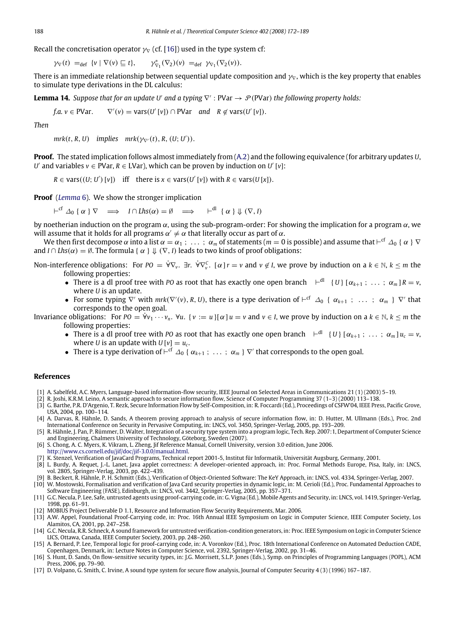Recall the concretisation operator  $\gamma_\nabla$  (cf. [\[16\]](#page-16-13)) used in the type system cf:

$$
\gamma_{\nabla}(t) =_{\text{def}} \{v \mid \nabla(v) \sqsubseteq t\}, \qquad \gamma_{\nabla_1}^*(\nabla_2)(v) =_{\text{def}} \gamma_{\nabla_1}(\nabla_2(v)).
$$

There is an immediate relationship between sequential update composition and  $\gamma_\nabla$ , which is the key property that enables to simulate type derivations in the DL calculus:

**Lemma 14.** Suppose that for an update U' and a typing  $\nabla$ ' : PVar  $\rightarrow$   $\mathcal{P}$ (PVar) the following property holds:

*f.a.*  $v \in \text{PVar}$ .  $V'(v) = \text{vars}(U'[v]) \cap \text{PVar} \text{ and } R \notin \text{vars}(U'[v]).$ 

*Then*

 $mrk(t, R, U)$  *implies*  $mrk(\gamma_{\nabla'}(t), R, (U; U')).$ 

**Proof.** The stated implication follows almost immediately from [\(A.2\)](#page-15-0) and the following equivalence (for arbitrary updates *U*, *U*' and variables  $v \in \text{PVar}$ ,  $R \in \text{LVar}$ ), which can be proven by induction on *U'* [*v*]:

 $R \in \text{vars}((U; U') [v])$  iff there is  $x \in \text{vars}(U'[v])$  with  $R \in \text{vars}(U[x])$ .

**Proof** (*[Lemma](#page-7-1)* [6\)](#page-7-1). We show the stronger implication

 $\vdash^{cf} \Delta_0 \{\alpha\} \nabla \implies I \cap Lhs(\alpha) = \emptyset \implies \vdash^{dl} \{\alpha\} \Downarrow (\nabla, I)$ 

by noetherian induction on the program  $\alpha$ , using the sub-program-order: For showing the implication for a program  $\alpha$ , we will assume that it holds for all programs  $\alpha' \neq \alpha$  that literally occur as part of  $\alpha$ .

We then first decompose  $\alpha$  into a list  $\alpha=\alpha_1$  ;  $\;\dots\;$  ;  $\alpha_m$  of statements ( $m=0$  is possible) and assume that  $\vdash^{\mathsf{cf}}\varDelta_0$  {  $\alpha$  }  $\nabla$ and *I* ∩ *Lhs*( $\alpha$ ) = Ø. The formula {  $\alpha$  }  $\Downarrow$  ( $\nabla$ , *I*) leads to two kinds of proof obligations:

Non-interference obligations: For  $PO = \forall \nabla_v$ .  $\exists r$ .  $\forall \nabla_v^C$ .  $[\alpha]r = v$  and  $v \notin I$ , we prove by induction on a  $k \in \mathbb{N}$ ,  $k \leq m$  the following properties:

- There is a dl proof tree with *PO* as root that has exactly one open branch  $\leftarrow$ <sup>dl</sup> { *U*}  $\left[\alpha_{k+1} : \ldots : \alpha_m\right] R = v$ , where *U* is an update.
- For some typing  $\nabla'$  with  $mrk(\nabla'(v), R, U)$ , there is a type derivation of  $\vdash^{cf} \Delta_0$  {  $\alpha_{k+1}$  ; ... ;  $\alpha_m$  }  $\nabla'$  that corresponds to the open goal.

Invariance obligations: For  $P0 = \forall v_1 \cdots v_n$ .  $\forall u$ .  $\{v := u\}$   $\{ \alpha \}$   $u = v$  and  $v \in I$ , we prove by induction on a  $k \in \mathbb{N}$ ,  $k \leq m$  the following properties:

- There is a dl proof tree with PO as root that has exactly one open branch  $\begin{bmatrix} -d \\ d \end{bmatrix}$   $\{U\}$   $\{\alpha_{k+1}^j, \ldots, \alpha_m^j\}_{u_c} = v$ where *U* is an update with  $U[v] = u_c$ .
- There is a type derivation of  $\vdash^{cf}\Delta_0$  {  $\alpha_{k+1}$  ;  $\ldots$  ;  $\alpha_m$  }  $\nabla'$  that corresponds to the open goal.

### **References**

- <span id="page-16-0"></span>[1] A. Sabelfeld, A.C. Myers, Language-based information-flow security, IEEE Journal on Selected Areas in Communications 21 (1) (2003) 5–19.
- <span id="page-16-1"></span>[2] R. Joshi, K.R.M. Leino, A semantic approach to secure information flow, Science of Computer Programming 37 (1–3) (2000) 113–138.
- [3] G. Barthe, P.R. D'Argenio, T. Rezk, Secure Information Flow by Self-Composition, in: R. Foccardi (Ed.), Proceedings of CSFW'04, IEEE Press, Pacific Grove, USA, 2004, pp. 100–114.
- <span id="page-16-2"></span>[4] A. Darvas, R. Hähnle, D. Sands, A theorem proving approach to analysis of secure information flow, in: D. Hutter, M. Ullmann (Eds.), Proc. 2nd International Conference on Security in Pervasive Computing, in: LNCS, vol. 3450, Springer-Verlag, 2005, pp. 193–209.
- <span id="page-16-3"></span>[5] R. Hähnle, J. Pan, P. Rümmer, D. Walter, Integration of a security type system into a program logic, Tech. Rep. 2007:1, Department of Computer Science and Engineering, Chalmers University of Technology, Göteborg, Sweden (2007).
- <span id="page-16-4"></span>[6] S. Chong, A. C. Myers, K. Vikram, L. Zheng, Jif Reference Manual, Cornell University, version 3.0 edition, June 2006.
- [http://www.cs.cornell.edu/jif/doc/jif-3.0.0/manual.html.](http://www.cs.cornell.edu/jif/doc/jif-3.0.0/manual.html)
- <span id="page-16-5"></span>[7] K. Stenzel, Verification of JavaCard Programs, Technical report 2001-5, Institut für Informatik, Universität Augsburg, Germany, 2001.
- [8] L. Burdy, A. Requet, J.-L. Lanet, Java applet correctness: A developer-oriented approach, in: Proc. Formal Methods Europe, Pisa, Italy, in: LNCS, vol. 2805, Springer-Verlag, 2003, pp. 422–439.
- <span id="page-16-6"></span>[9] B. Beckert, R. Hähnle, P. H. Schmitt (Eds.), Verification of Object-Oriented Software: The KeY Approach, in: LNCS, vol. 4334, Springer-Verlag, 2007. [10] W. Mostowski, Formalisation and verification of Java Card security properties in dynamic logic, in: M. Cerioli (Ed.), Proc. Fundamental Approaches to

<span id="page-16-7"></span>Software Engineering (FASE), Edinburgh, in: LNCS, vol. 3442, Springer-Verlag, 2005, pp. 357–371.

- <span id="page-16-8"></span>[11] G.C. Necula, P. Lee, Safe, untrusted agents using proof-carrying code, in: G. Vigna (Ed.), Mobile Agents and Security, in: LNCS, vol. 1419, Springer-Verlag, 1998, pp. 61–91.
- <span id="page-16-9"></span>[12] MOBIUS Project Deliverable D 1.1, Resource and Information Flow Security Requirements, Mar. 2006.
- <span id="page-16-10"></span>[13] A.W. Appel, Foundational Proof-Carrying code, in: Proc. 16th Annual IEEE Symposium on Logic in Computer Science, IEEE Computer Society, Los Alamitos, CA, 2001, pp. 247–258.
- <span id="page-16-11"></span>[14] G.C. Necula, R.R. Schneck, A sound framework for untrustred verification-condition generators, in: Proc. IEEE Symposium on Logic in Computer Science LICS, Ottawa, Canada, IEEE Computer Society, 2003, pp. 248–260.
- <span id="page-16-12"></span>[15] A. Bernard, P. Lee, Temporal logic for proof-carrying code, in: A. Voronkov (Ed.), Proc. 18th International Conference on Automated Deduction CADE, Copenhagen, Denmark, in: Lecture Notes in Computer Science, vol. 2392, Springer-Verlag, 2002, pp. 31–46.
- <span id="page-16-13"></span>[16] S. Hunt, D. Sands, On flow-sensitive security types, in: J.G. Morrisett, S.L.P. Jones (Eds.), Symp. on Principles of Programming Languages (POPL), ACM Press, 2006, pp. 79–90.
- <span id="page-16-14"></span>[17] D. Volpano, G. Smith, C. Irvine, A sound type system for secure flow analysis, Journal of Computer Security 4 (3) (1996) 167–187.